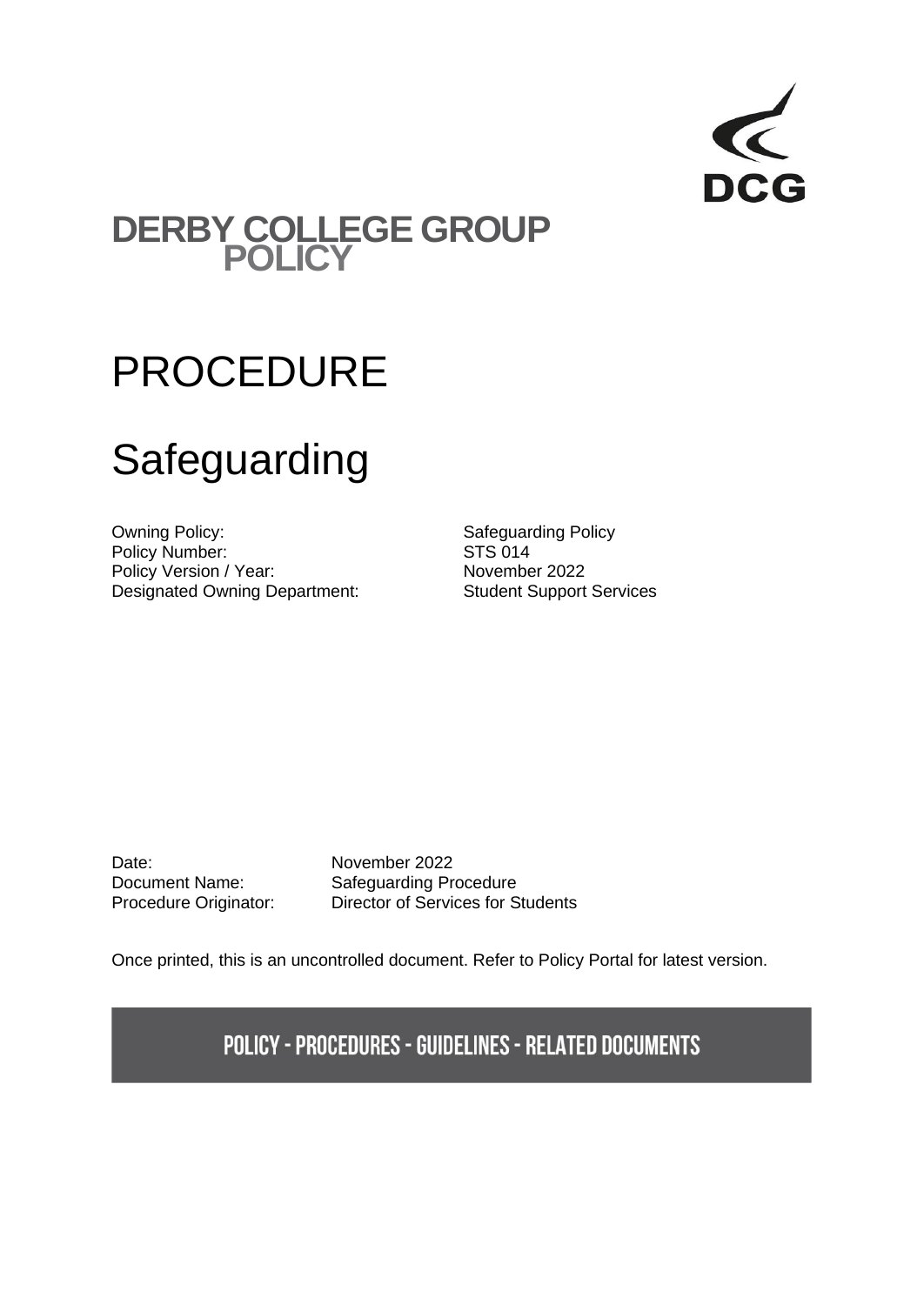

## **DERBY COLLEGE GROUP POLICY**

## PROCEDURE

# **Safeguarding**

Owning Policy:<br>
Policy Number:<br>
Policy Number:<br>
STS 014 Policy Number:<br>
Policy Version / Year:<br>
Policy Version / Year:<br>
STS 014 Policy Version / Year: Designated Owning Department: Student Support Services

Date: November 2022

Document Name: Safeguarding Procedure Procedure Originator: Director of Services for Students

Once printed, this is an uncontrolled document. Refer to Policy Portal for latest version.

**POLICY - PROCEDURES - GUIDELINES - RELATED DOCUMENTS**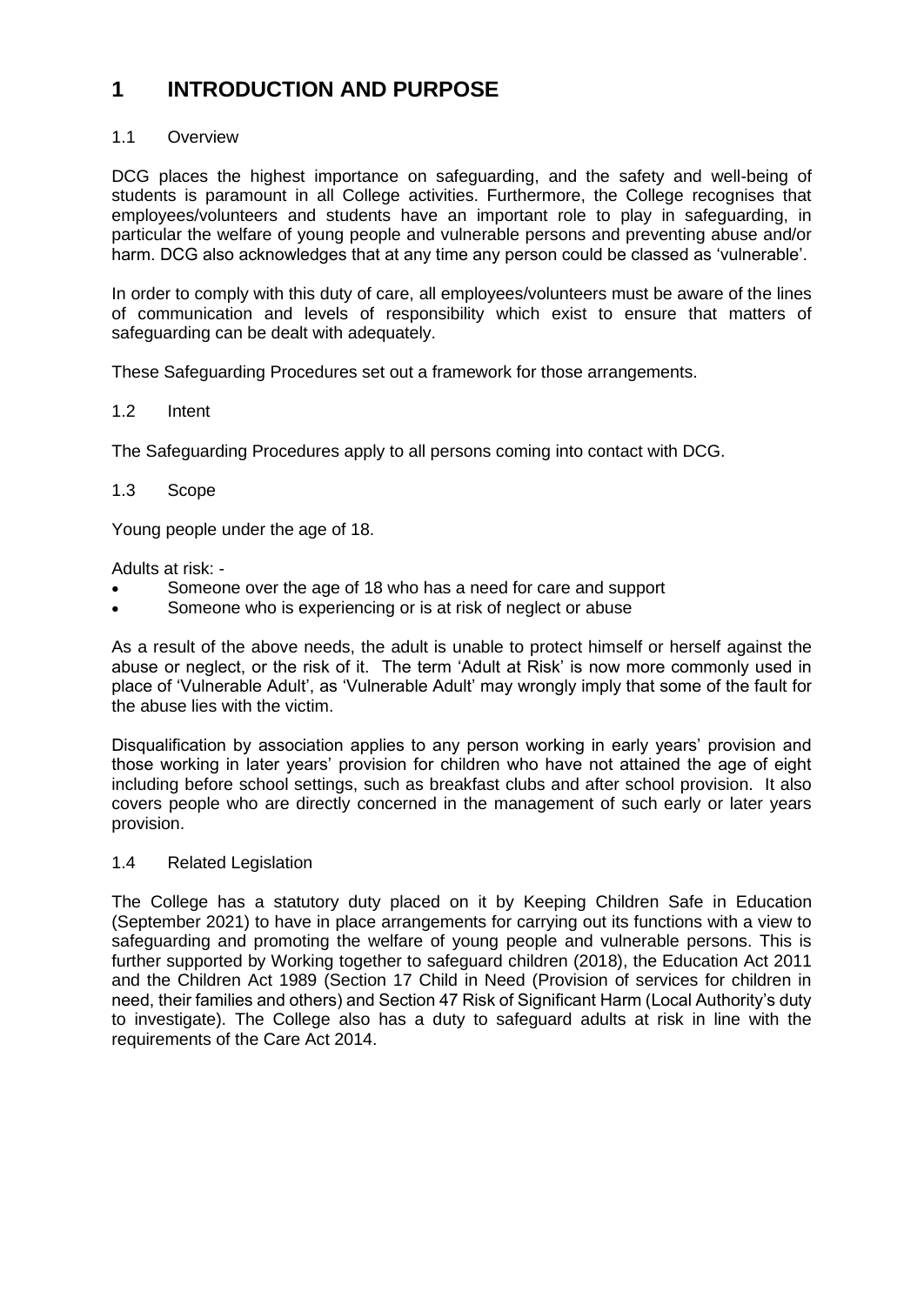## **1 INTRODUCTION AND PURPOSE**

## 1.1 Overview

DCG places the highest importance on safeguarding, and the safety and well-being of students is paramount in all College activities. Furthermore, the College recognises that employees/volunteers and students have an important role to play in safeguarding, in particular the welfare of young people and vulnerable persons and preventing abuse and/or harm. DCG also acknowledges that at any time any person could be classed as 'vulnerable'.

In order to comply with this duty of care, all employees/volunteers must be aware of the lines of communication and levels of responsibility which exist to ensure that matters of safeguarding can be dealt with adequately.

These Safeguarding Procedures set out a framework for those arrangements.

## 1.2 Intent

The Safeguarding Procedures apply to all persons coming into contact with DCG.

## 1.3 Scope

Young people under the age of 18.

Adults at risk: -

- Someone over the age of 18 who has a need for care and support
- Someone who is experiencing or is at risk of neglect or abuse

As a result of the above needs, the adult is unable to protect himself or herself against the abuse or neglect, or the risk of it. The term 'Adult at Risk' is now more commonly used in place of 'Vulnerable Adult', as 'Vulnerable Adult' may wrongly imply that some of the fault for the abuse lies with the victim.

Disqualification by association applies to any person working in early years' provision and those working in later years' provision for children who have not attained the age of eight including before school settings, such as breakfast clubs and after school provision. It also covers people who are directly concerned in the management of such early or later years provision.

## 1.4 Related Legislation

The College has a statutory duty placed on it by Keeping Children Safe in Education (September 2021) to have in place arrangements for carrying out its functions with a view to safeguarding and promoting the welfare of young people and vulnerable persons. This is further supported by Working together to safeguard children (2018), the Education Act 2011 and the Children Act 1989 (Section 17 Child in Need (Provision of services for children in need, their families and others) and Section 47 Risk of Significant Harm (Local Authority's duty to investigate). The College also has a duty to safeguard adults at risk in line with the requirements of the Care Act 2014.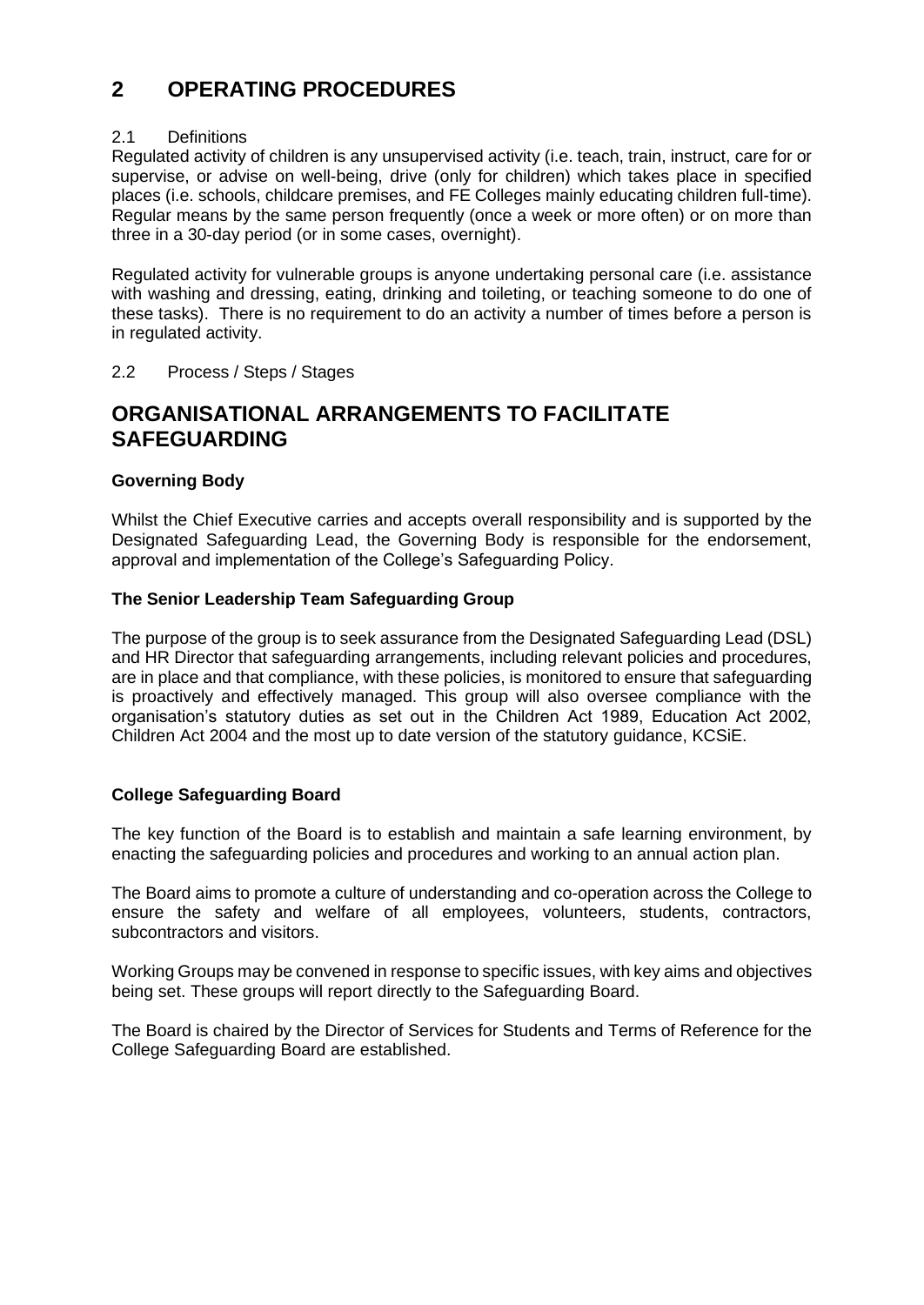## **2 OPERATING PROCEDURES**

## 2.1 Definitions

Regulated activity of children is any unsupervised activity (i.e. teach, train, instruct, care for or supervise, or advise on well-being, drive (only for children) which takes place in specified places (i.e. schools, childcare premises, and FE Colleges mainly educating children full-time). Regular means by the same person frequently (once a week or more often) or on more than three in a 30-day period (or in some cases, overnight).

Regulated activity for vulnerable groups is anyone undertaking personal care (i.e. assistance with washing and dressing, eating, drinking and toileting, or teaching someone to do one of these tasks). There is no requirement to do an activity a number of times before a person is in regulated activity.

## 2.2 Process / Steps / Stages

## **ORGANISATIONAL ARRANGEMENTS TO FACILITATE SAFEGUARDING**

## **Governing Body**

Whilst the Chief Executive carries and accepts overall responsibility and is supported by the Designated Safeguarding Lead, the Governing Body is responsible for the endorsement, approval and implementation of the College's Safeguarding Policy.

## **The Senior Leadership Team Safeguarding Group**

The purpose of the group is to seek assurance from the Designated Safeguarding Lead (DSL) and HR Director that safeguarding arrangements, including relevant policies and procedures, are in place and that compliance, with these policies, is monitored to ensure that safeguarding is proactively and effectively managed. This group will also oversee compliance with the organisation's statutory duties as set out in the Children Act 1989, Education Act 2002, Children Act 2004 and the most up to date version of the statutory guidance, KCSiE.

## **College Safeguarding Board**

The key function of the Board is to establish and maintain a safe learning environment, by enacting the safeguarding policies and procedures and working to an annual action plan.

The Board aims to promote a culture of understanding and co-operation across the College to ensure the safety and welfare of all employees, volunteers, students, contractors, subcontractors and visitors.

Working Groups may be convened in response to specific issues, with key aims and objectives being set. These groups will report directly to the Safeguarding Board.

The Board is chaired by the Director of Services for Students and Terms of Reference for the College Safeguarding Board are established.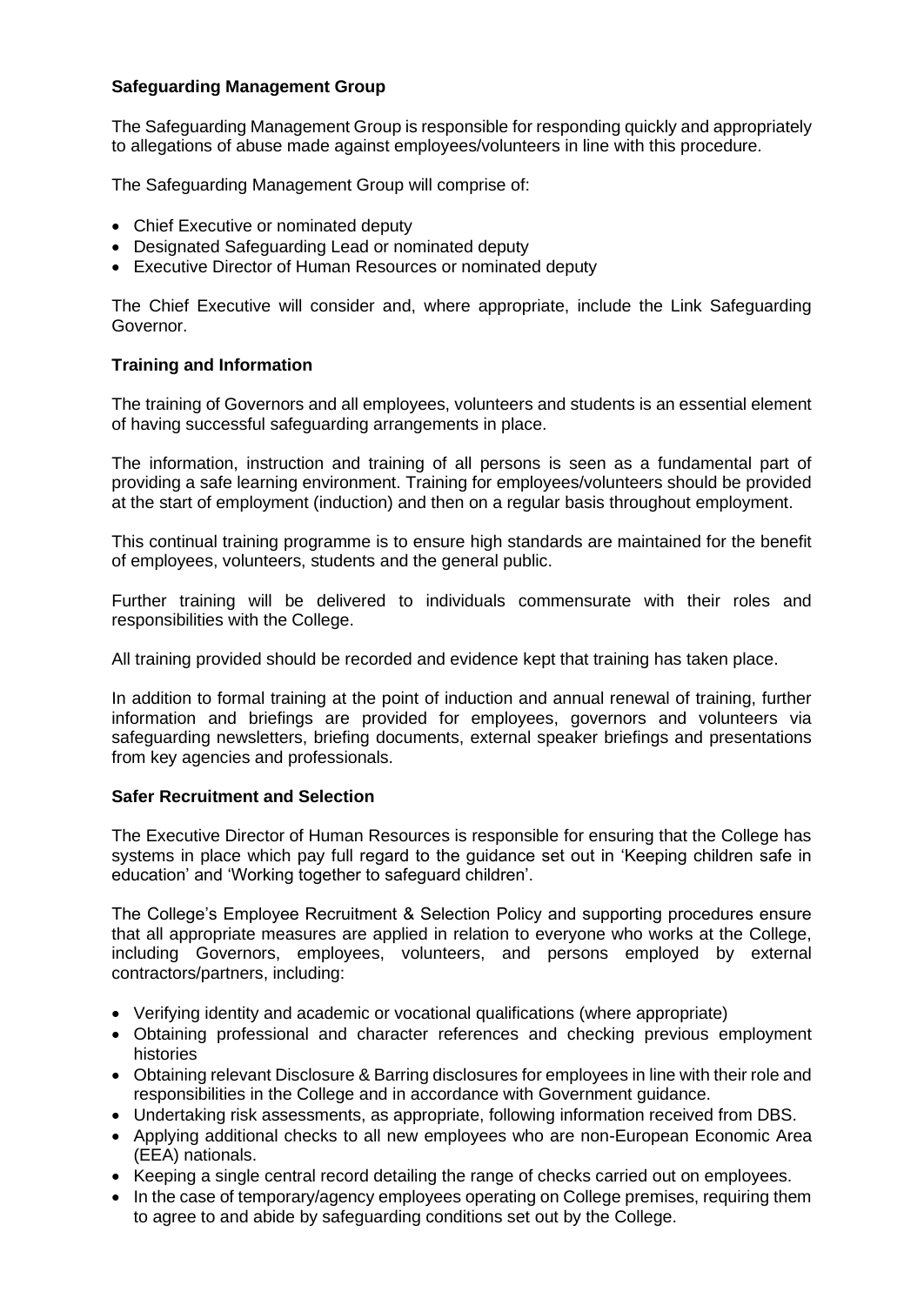## **Safeguarding Management Group**

The Safeguarding Management Group is responsible for responding quickly and appropriately to allegations of abuse made against employees/volunteers in line with this procedure.

The Safeguarding Management Group will comprise of:

- Chief Executive or nominated deputy
- Designated Safeguarding Lead or nominated deputy
- Executive Director of Human Resources or nominated deputy

The Chief Executive will consider and, where appropriate, include the Link Safeguarding Governor.

## **Training and Information**

The training of Governors and all employees, volunteers and students is an essential element of having successful safeguarding arrangements in place.

The information, instruction and training of all persons is seen as a fundamental part of providing a safe learning environment. Training for employees/volunteers should be provided at the start of employment (induction) and then on a regular basis throughout employment.

This continual training programme is to ensure high standards are maintained for the benefit of employees, volunteers, students and the general public.

Further training will be delivered to individuals commensurate with their roles and responsibilities with the College.

All training provided should be recorded and evidence kept that training has taken place.

In addition to formal training at the point of induction and annual renewal of training, further information and briefings are provided for employees, governors and volunteers via safeguarding newsletters, briefing documents, external speaker briefings and presentations from key agencies and professionals.

## **Safer Recruitment and Selection**

The Executive Director of Human Resources is responsible for ensuring that the College has systems in place which pay full regard to the guidance set out in 'Keeping children safe in education' and 'Working together to safeguard children'.

The College's Employee Recruitment & Selection Policy and supporting procedures ensure that all appropriate measures are applied in relation to everyone who works at the College, including Governors, employees, volunteers, and persons employed by external contractors/partners, including:

- Verifying identity and academic or vocational qualifications (where appropriate)
- Obtaining professional and character references and checking previous employment histories
- Obtaining relevant Disclosure & Barring disclosures for employees in line with their role and responsibilities in the College and in accordance with Government guidance.
- Undertaking risk assessments, as appropriate, following information received from DBS.
- Applying additional checks to all new employees who are non-European Economic Area (EEA) nationals.
- Keeping a single central record detailing the range of checks carried out on employees.
- In the case of temporary/agency employees operating on College premises, requiring them to agree to and abide by safeguarding conditions set out by the College.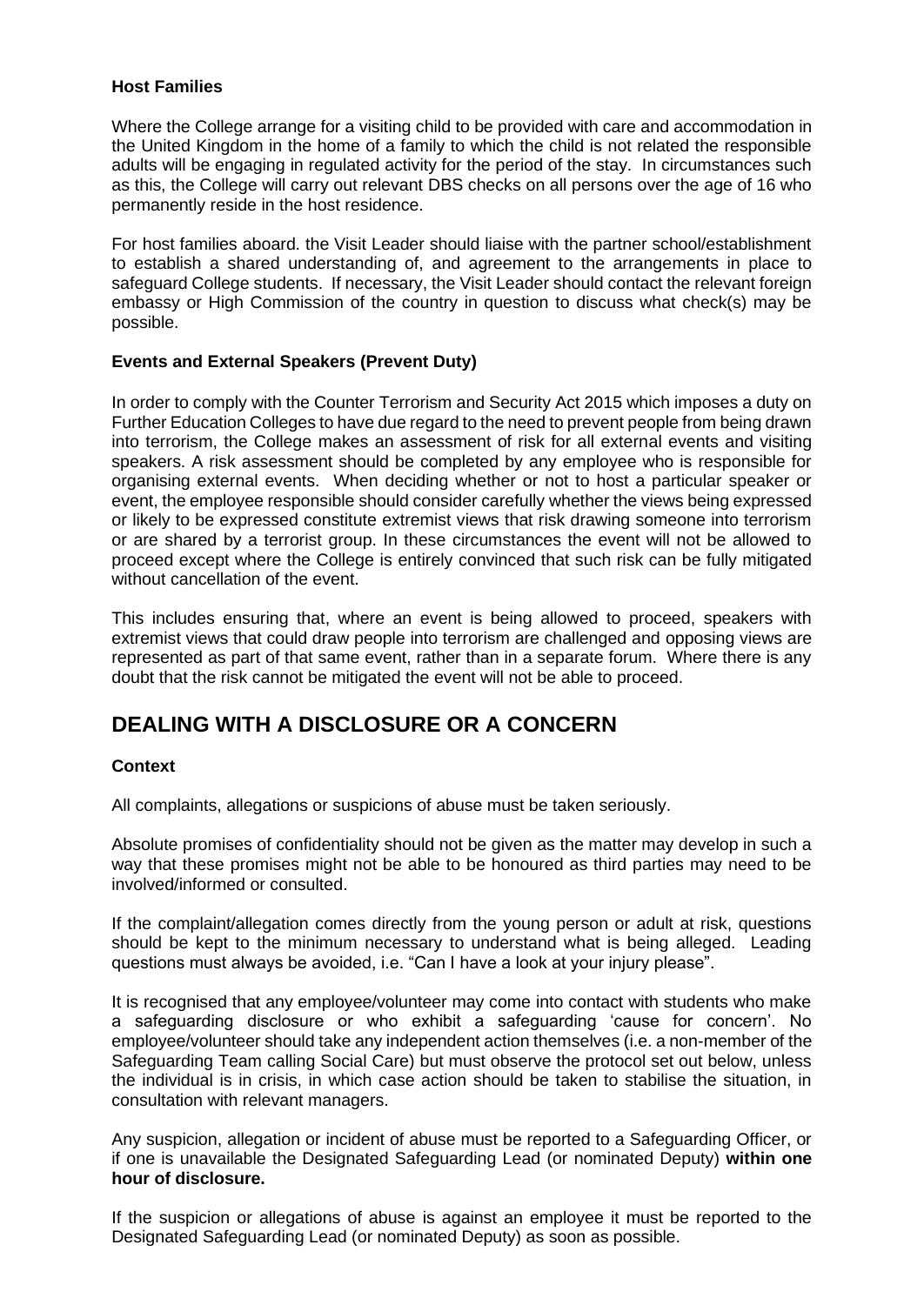## **Host Families**

Where the College arrange for a visiting child to be provided with care and accommodation in the United Kingdom in the home of a family to which the child is not related the responsible adults will be engaging in regulated activity for the period of the stay. In circumstances such as this, the College will carry out relevant DBS checks on all persons over the age of 16 who permanently reside in the host residence.

For host families aboard. the Visit Leader should liaise with the partner school/establishment to establish a shared understanding of, and agreement to the arrangements in place to safeguard College students. If necessary, the Visit Leader should contact the relevant foreign embassy or High Commission of the country in question to discuss what check(s) may be possible.

## **Events and External Speakers (Prevent Duty)**

In order to comply with the Counter Terrorism and Security Act 2015 which imposes a duty on Further Education Colleges to have due regard to the need to prevent people from being drawn into terrorism, the College makes an assessment of risk for all external events and visiting speakers. A risk assessment should be completed by any employee who is responsible for organising external events. When deciding whether or not to host a particular speaker or event, the employee responsible should consider carefully whether the views being expressed or likely to be expressed constitute extremist views that risk drawing someone into terrorism or are shared by a terrorist group. In these circumstances the event will not be allowed to proceed except where the College is entirely convinced that such risk can be fully mitigated without cancellation of the event.

This includes ensuring that, where an event is being allowed to proceed, speakers with extremist views that could draw people into terrorism are challenged and opposing views are represented as part of that same event, rather than in a separate forum. Where there is any doubt that the risk cannot be mitigated the event will not be able to proceed.

## **DEALING WITH A DISCLOSURE OR A CONCERN**

## **Context**

All complaints, allegations or suspicions of abuse must be taken seriously.

Absolute promises of confidentiality should not be given as the matter may develop in such a way that these promises might not be able to be honoured as third parties may need to be involved/informed or consulted.

If the complaint/allegation comes directly from the young person or adult at risk, questions should be kept to the minimum necessary to understand what is being alleged. Leading questions must always be avoided, i.e. "Can I have a look at your injury please".

It is recognised that any employee/volunteer may come into contact with students who make a safeguarding disclosure or who exhibit a safeguarding 'cause for concern'. No employee/volunteer should take any independent action themselves (i.e. a non-member of the Safeguarding Team calling Social Care) but must observe the protocol set out below, unless the individual is in crisis, in which case action should be taken to stabilise the situation, in consultation with relevant managers.

Any suspicion, allegation or incident of abuse must be reported to a Safeguarding Officer, or if one is unavailable the Designated Safeguarding Lead (or nominated Deputy) **within one hour of disclosure.**

If the suspicion or allegations of abuse is against an employee it must be reported to the Designated Safeguarding Lead (or nominated Deputy) as soon as possible.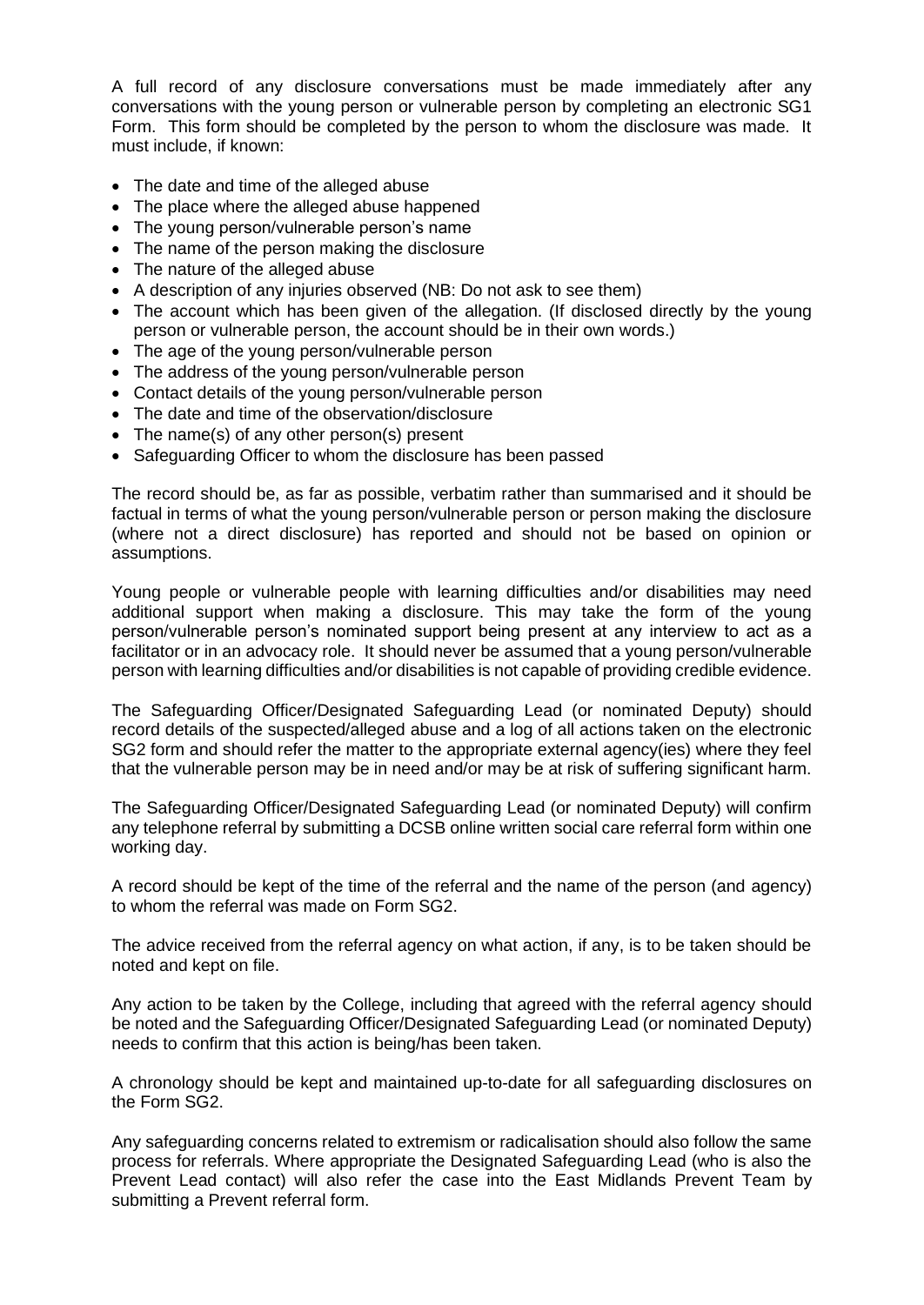A full record of any disclosure conversations must be made immediately after any conversations with the young person or vulnerable person by completing an electronic SG1 Form. This form should be completed by the person to whom the disclosure was made. It must include, if known:

- The date and time of the alleged abuse
- The place where the alleged abuse happened
- The young person/vulnerable person's name
- The name of the person making the disclosure
- The nature of the alleged abuse
- A description of any injuries observed (NB: Do not ask to see them)
- The account which has been given of the allegation. (If disclosed directly by the young person or vulnerable person, the account should be in their own words.)
- The age of the young person/vulnerable person
- The address of the young person/vulnerable person
- Contact details of the young person/vulnerable person
- The date and time of the observation/disclosure
- The name(s) of any other person(s) present
- Safeguarding Officer to whom the disclosure has been passed

The record should be, as far as possible, verbatim rather than summarised and it should be factual in terms of what the young person/vulnerable person or person making the disclosure (where not a direct disclosure) has reported and should not be based on opinion or assumptions.

Young people or vulnerable people with learning difficulties and/or disabilities may need additional support when making a disclosure. This may take the form of the young person/vulnerable person's nominated support being present at any interview to act as a facilitator or in an advocacy role. It should never be assumed that a young person/vulnerable person with learning difficulties and/or disabilities is not capable of providing credible evidence.

The Safeguarding Officer/Designated Safeguarding Lead (or nominated Deputy) should record details of the suspected/alleged abuse and a log of all actions taken on the electronic SG2 form and should refer the matter to the appropriate external agency(ies) where they feel that the vulnerable person may be in need and/or may be at risk of suffering significant harm.

The Safeguarding Officer/Designated Safeguarding Lead (or nominated Deputy) will confirm any telephone referral by submitting a DCSB online written social care referral form within one working day.

A record should be kept of the time of the referral and the name of the person (and agency) to whom the referral was made on Form SG2.

The advice received from the referral agency on what action, if any, is to be taken should be noted and kept on file.

Any action to be taken by the College, including that agreed with the referral agency should be noted and the Safeguarding Officer/Designated Safeguarding Lead (or nominated Deputy) needs to confirm that this action is being/has been taken.

A chronology should be kept and maintained up-to-date for all safeguarding disclosures on the Form SG2.

Any safeguarding concerns related to extremism or radicalisation should also follow the same process for referrals. Where appropriate the Designated Safeguarding Lead (who is also the Prevent Lead contact) will also refer the case into the East Midlands Prevent Team by submitting a Prevent referral form.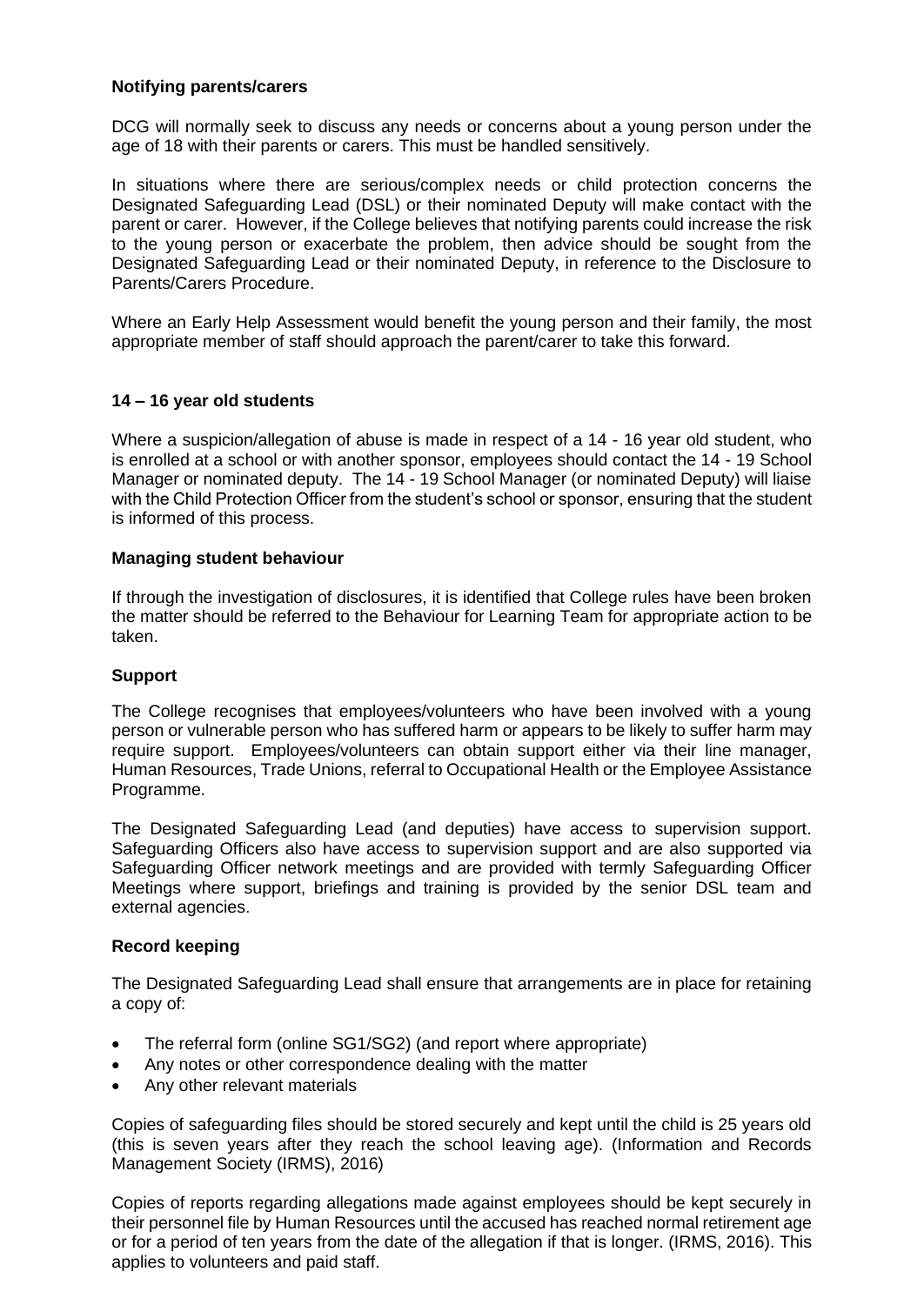## **Notifying parents/carers**

DCG will normally seek to discuss any needs or concerns about a young person under the age of 18 with their parents or carers. This must be handled sensitively.

In situations where there are serious/complex needs or child protection concerns the Designated Safeguarding Lead (DSL) or their nominated Deputy will make contact with the parent or carer. However, if the College believes that notifying parents could increase the risk to the young person or exacerbate the problem, then advice should be sought from the Designated Safeguarding Lead or their nominated Deputy, in reference to the Disclosure to Parents/Carers Procedure.

Where an Early Help Assessment would benefit the young person and their family, the most appropriate member of staff should approach the parent/carer to take this forward.

## **14 – 16 year old students**

Where a suspicion/allegation of abuse is made in respect of a 14 - 16 year old student, who is enrolled at a school or with another sponsor, employees should contact the 14 - 19 School Manager or nominated deputy. The 14 - 19 School Manager (or nominated Deputy) will liaise with the Child Protection Officer from the student's school or sponsor, ensuring that the student is informed of this process.

## **Managing student behaviour**

If through the investigation of disclosures, it is identified that College rules have been broken the matter should be referred to the Behaviour for Learning Team for appropriate action to be taken.

## **Support**

The College recognises that employees/volunteers who have been involved with a young person or vulnerable person who has suffered harm or appears to be likely to suffer harm may require support. Employees/volunteers can obtain support either via their line manager, Human Resources, Trade Unions, referral to Occupational Health or the Employee Assistance Programme.

The Designated Safeguarding Lead (and deputies) have access to supervision support. Safeguarding Officers also have access to supervision support and are also supported via Safeguarding Officer network meetings and are provided with termly Safeguarding Officer Meetings where support, briefings and training is provided by the senior DSL team and external agencies.

## **Record keeping**

The Designated Safeguarding Lead shall ensure that arrangements are in place for retaining a copy of:

- The referral form (online SG1/SG2) (and report where appropriate)
- Any notes or other correspondence dealing with the matter
- Any other relevant materials

Copies of safeguarding files should be stored securely and kept until the child is 25 years old (this is seven years after they reach the school leaving age). (Information and Records Management Society (IRMS), 2016)

Copies of reports regarding allegations made against employees should be kept securely in their personnel file by Human Resources until the accused has reached normal retirement age or for a period of ten years from the date of the allegation if that is longer. (IRMS, 2016). This applies to volunteers and paid staff.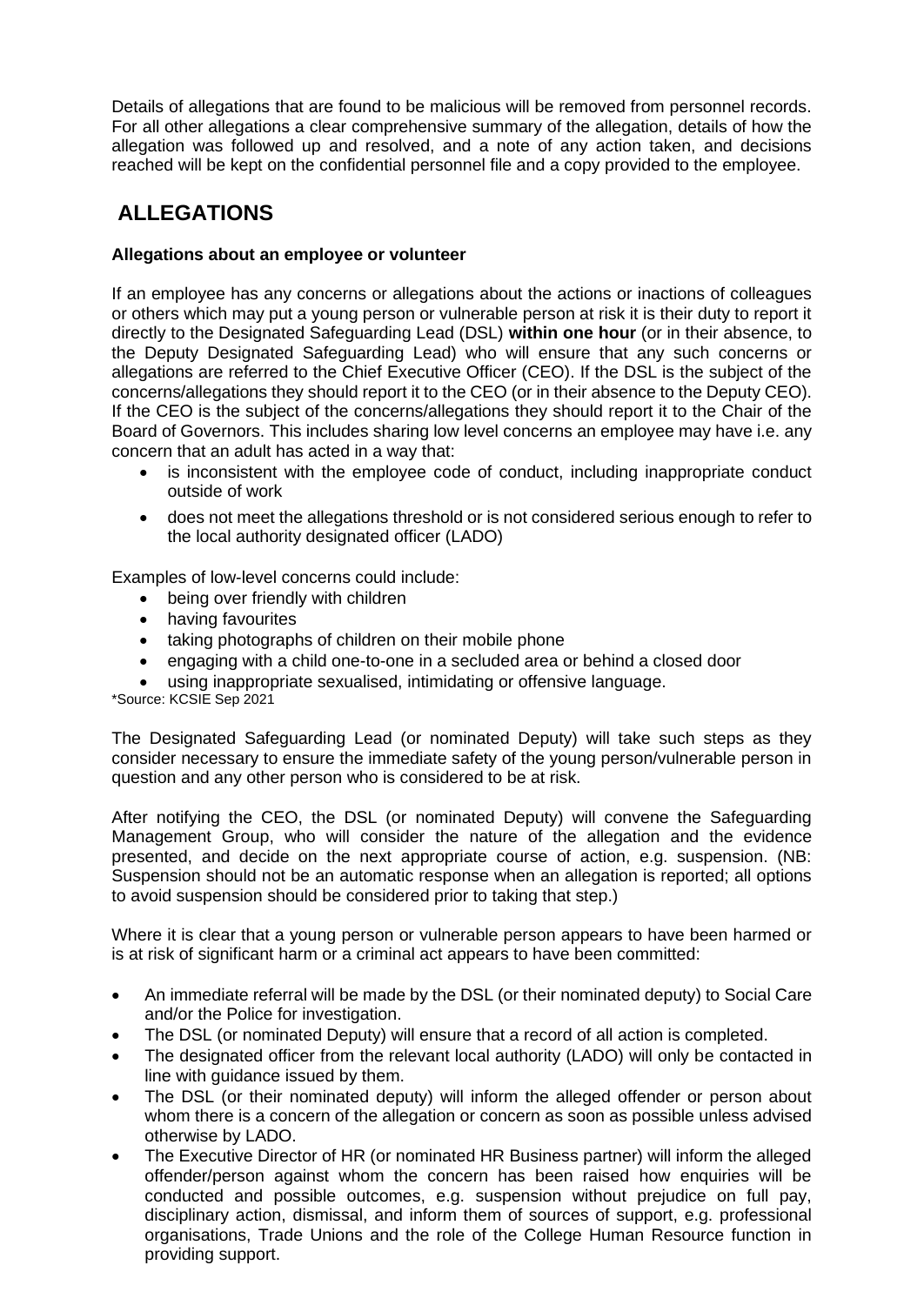Details of allegations that are found to be malicious will be removed from personnel records. For all other allegations a clear comprehensive summary of the allegation, details of how the allegation was followed up and resolved, and a note of any action taken, and decisions reached will be kept on the confidential personnel file and a copy provided to the employee.

## **ALLEGATIONS**

## **Allegations about an employee or volunteer**

If an employee has any concerns or allegations about the actions or inactions of colleagues or others which may put a young person or vulnerable person at risk it is their duty to report it directly to the Designated Safeguarding Lead (DSL) **within one hour** (or in their absence, to the Deputy Designated Safeguarding Lead) who will ensure that any such concerns or allegations are referred to the Chief Executive Officer (CEO). If the DSL is the subject of the concerns/allegations they should report it to the CEO (or in their absence to the Deputy CEO). If the CEO is the subject of the concerns/allegations they should report it to the Chair of the Board of Governors. This includes sharing low level concerns an employee may have i.e. any concern that an adult has acted in a way that:

- is inconsistent with the employee code of conduct, including inappropriate conduct outside of work
- does not meet the allegations threshold or is not considered serious enough to refer to the local authority designated officer (LADO)

Examples of low-level concerns could include:

- being over friendly with children
- having favourites
- taking photographs of children on their mobile phone
- engaging with a child one-to-one in a secluded area or behind a closed door
- using inappropriate sexualised, intimidating or offensive language.

\*Source: KCSIE Sep 2021

The Designated Safeguarding Lead (or nominated Deputy) will take such steps as they consider necessary to ensure the immediate safety of the young person/vulnerable person in question and any other person who is considered to be at risk.

After notifying the CEO, the DSL (or nominated Deputy) will convene the Safeguarding Management Group, who will consider the nature of the allegation and the evidence presented, and decide on the next appropriate course of action, e.g. suspension. (NB: Suspension should not be an automatic response when an allegation is reported; all options to avoid suspension should be considered prior to taking that step.)

Where it is clear that a young person or vulnerable person appears to have been harmed or is at risk of significant harm or a criminal act appears to have been committed:

- An immediate referral will be made by the DSL (or their nominated deputy) to Social Care and/or the Police for investigation.
- The DSL (or nominated Deputy) will ensure that a record of all action is completed.
- The designated officer from the relevant local authority (LADO) will only be contacted in line with guidance issued by them.
- The DSL (or their nominated deputy) will inform the alleged offender or person about whom there is a concern of the allegation or concern as soon as possible unless advised otherwise by LADO.
- The Executive Director of HR (or nominated HR Business partner) will inform the alleged offender/person against whom the concern has been raised how enquiries will be conducted and possible outcomes, e.g. suspension without prejudice on full pay, disciplinary action, dismissal, and inform them of sources of support, e.g. professional organisations, Trade Unions and the role of the College Human Resource function in providing support.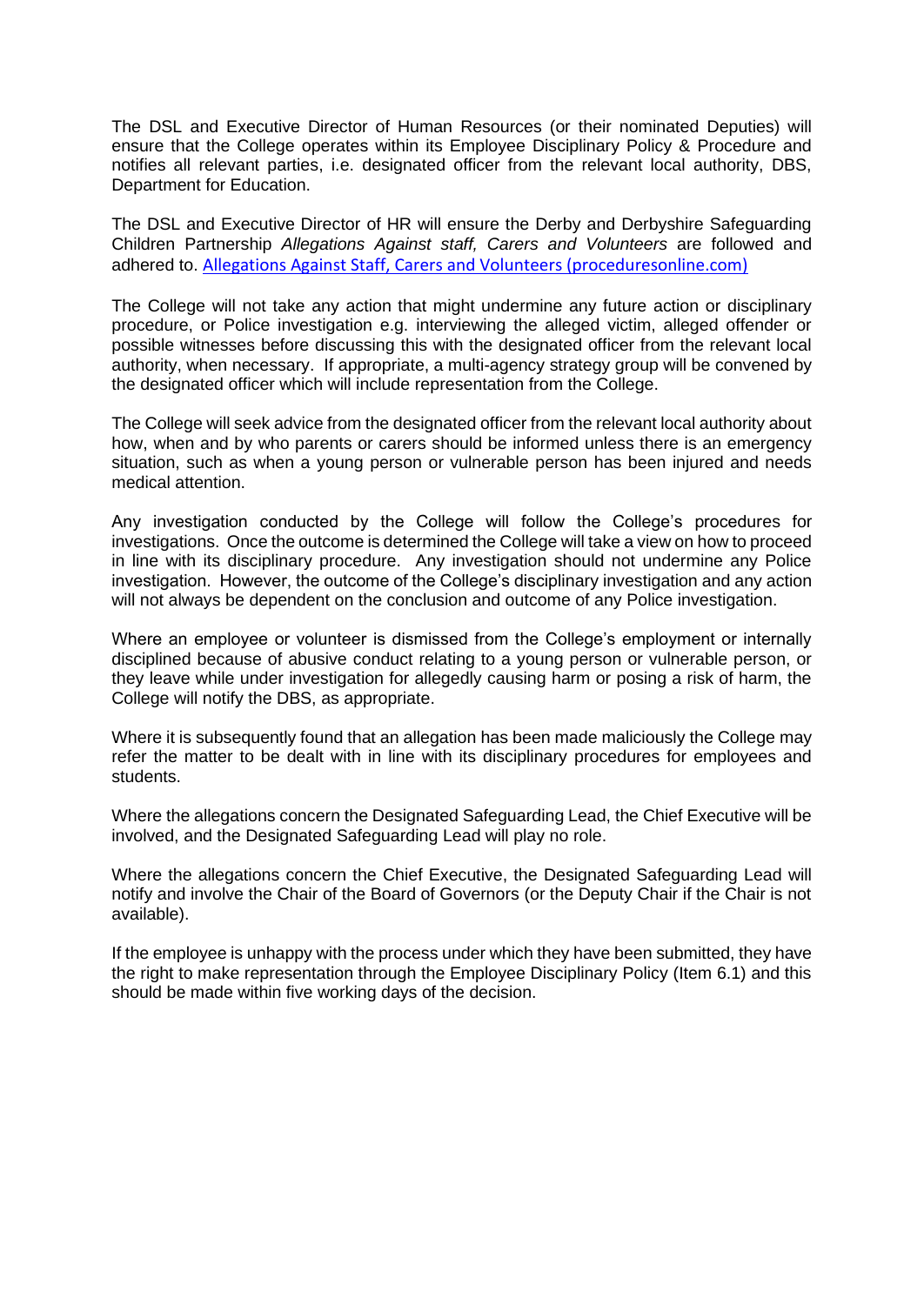The DSL and Executive Director of Human Resources (or their nominated Deputies) will ensure that the College operates within its Employee Disciplinary Policy & Procedure and notifies all relevant parties, i.e. designated officer from the relevant local authority, DBS, Department for Education.

The DSL and Executive Director of HR will ensure the Derby and Derbyshire Safeguarding Children Partnership *Allegations Against staff, Carers and Volunteers* are followed and adhered to. [Allegations Against Staff, Carers and Volunteers \(proceduresonline.com\)](https://derbyshirescbs.proceduresonline.com/p_alleg_staff_carer_volunteer.html?zoom_highlight=allegations+against+staff)

The College will not take any action that might undermine any future action or disciplinary procedure, or Police investigation e.g. interviewing the alleged victim, alleged offender or possible witnesses before discussing this with the designated officer from the relevant local authority, when necessary. If appropriate, a multi-agency strategy group will be convened by the designated officer which will include representation from the College.

The College will seek advice from the designated officer from the relevant local authority about how, when and by who parents or carers should be informed unless there is an emergency situation, such as when a young person or vulnerable person has been injured and needs medical attention.

Any investigation conducted by the College will follow the College's procedures for investigations. Once the outcome is determined the College will take a view on how to proceed in line with its disciplinary procedure. Any investigation should not undermine any Police investigation. However, the outcome of the College's disciplinary investigation and any action will not always be dependent on the conclusion and outcome of any Police investigation.

Where an employee or volunteer is dismissed from the College's employment or internally disciplined because of abusive conduct relating to a young person or vulnerable person, or they leave while under investigation for allegedly causing harm or posing a risk of harm, the College will notify the DBS, as appropriate.

Where it is subsequently found that an allegation has been made maliciously the College may refer the matter to be dealt with in line with its disciplinary procedures for employees and students.

Where the allegations concern the Designated Safeguarding Lead, the Chief Executive will be involved, and the Designated Safeguarding Lead will play no role.

Where the allegations concern the Chief Executive, the Designated Safeguarding Lead will notify and involve the Chair of the Board of Governors (or the Deputy Chair if the Chair is not available).

If the employee is unhappy with the process under which they have been submitted, they have the right to make representation through the Employee Disciplinary Policy (Item 6.1) and this should be made within five working days of the decision.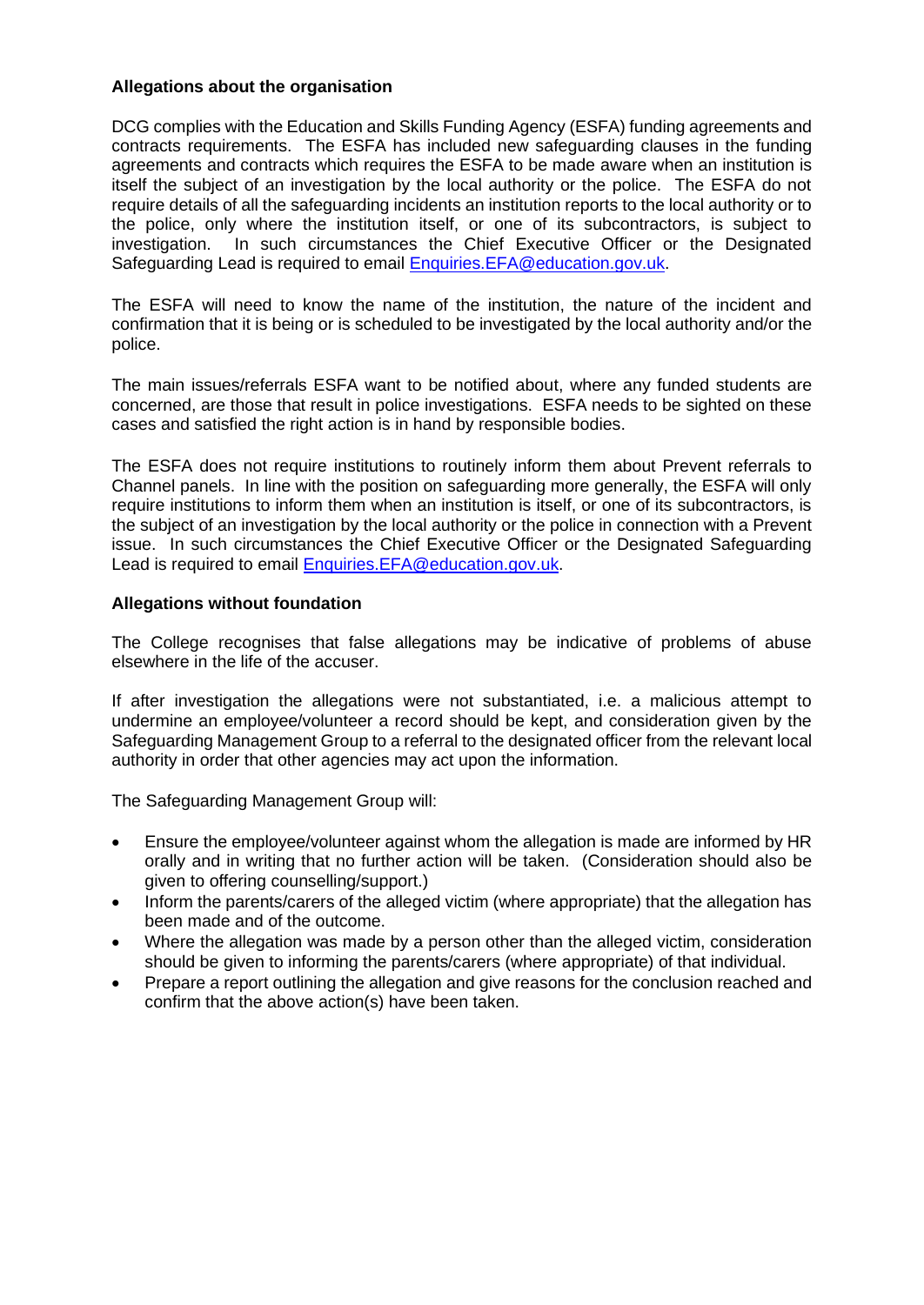## **Allegations about the organisation**

DCG complies with the Education and Skills Funding Agency (ESFA) funding agreements and contracts requirements. The ESFA has included new safeguarding clauses in the funding agreements and contracts which requires the ESFA to be made aware when an institution is itself the subject of an investigation by the local authority or the police. The ESFA do not require details of all the safeguarding incidents an institution reports to the local authority or to the police, only where the institution itself, or one of its subcontractors, is subject to investigation. In such circumstances the Chief Executive Officer or the Designated Safeguarding Lead is required to email [Enquiries.EFA@education.gov.uk.](mailto:Enquiries.EFA@education.gov.uk)

The ESFA will need to know the name of the institution, the nature of the incident and confirmation that it is being or is scheduled to be investigated by the local authority and/or the police.

The main issues/referrals ESFA want to be notified about, where any funded students are concerned, are those that result in police investigations. ESFA needs to be sighted on these cases and satisfied the right action is in hand by responsible bodies.

The ESFA does not require institutions to routinely inform them about Prevent referrals to Channel panels. In line with the position on safeguarding more generally, the ESFA will only require institutions to inform them when an institution is itself, or one of its subcontractors, is the subject of an investigation by the local authority or the police in connection with a Prevent issue. In such circumstances the Chief Executive Officer or the Designated Safeguarding Lead is required to email [Enquiries.EFA@education.gov.uk.](mailto:Enquiries.EFA@education.gov.uk)

#### **Allegations without foundation**

The College recognises that false allegations may be indicative of problems of abuse elsewhere in the life of the accuser.

If after investigation the allegations were not substantiated, i.e. a malicious attempt to undermine an employee/volunteer a record should be kept, and consideration given by the Safeguarding Management Group to a referral to the designated officer from the relevant local authority in order that other agencies may act upon the information.

The Safeguarding Management Group will:

- Ensure the employee/volunteer against whom the allegation is made are informed by HR orally and in writing that no further action will be taken. (Consideration should also be given to offering counselling/support.)
- Inform the parents/carers of the alleged victim (where appropriate) that the allegation has been made and of the outcome.
- Where the allegation was made by a person other than the alleged victim, consideration should be given to informing the parents/carers (where appropriate) of that individual.
- Prepare a report outlining the allegation and give reasons for the conclusion reached and confirm that the above action(s) have been taken.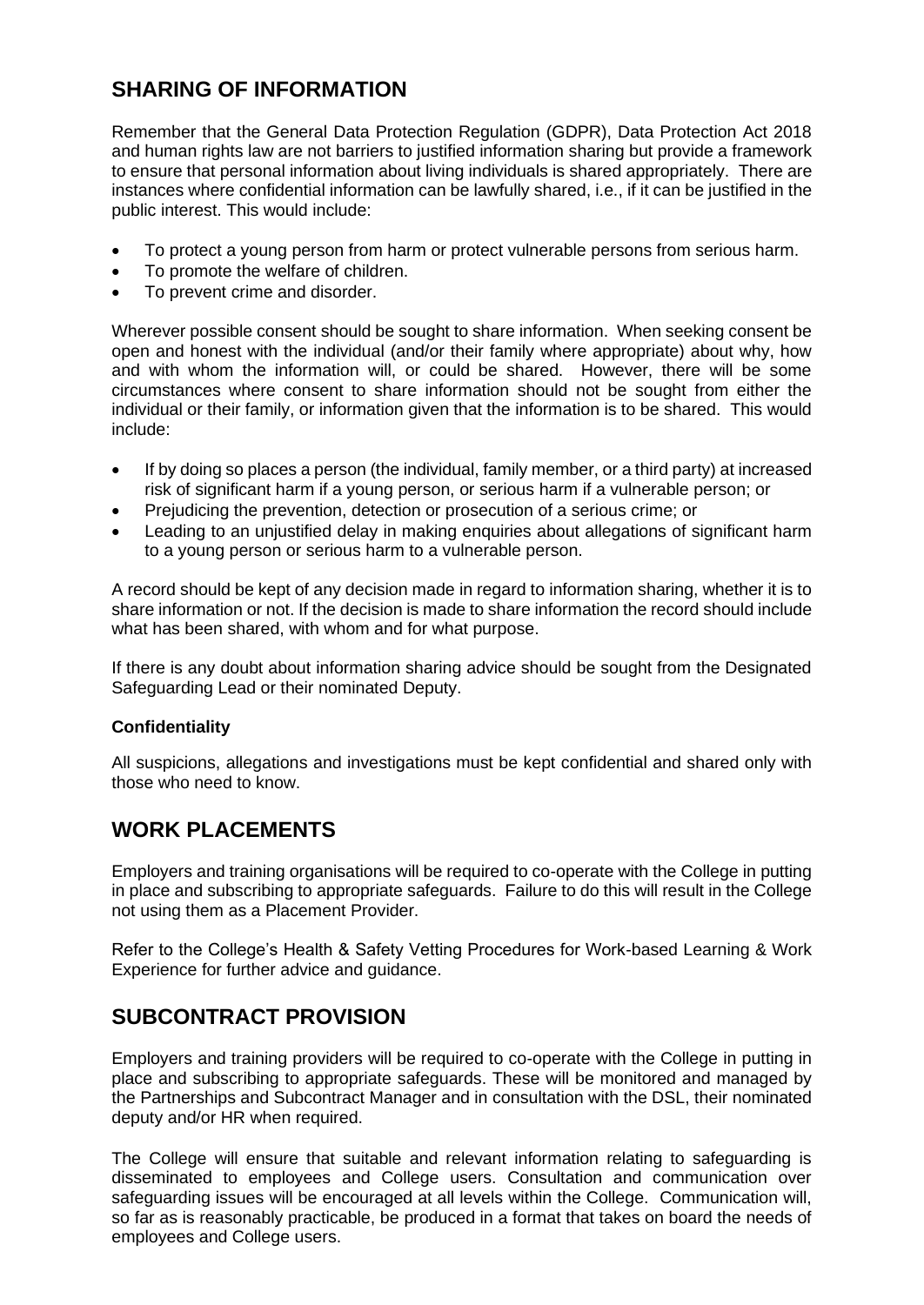## **SHARING OF INFORMATION**

Remember that the General Data Protection Regulation (GDPR), Data Protection Act 2018 and human rights law are not barriers to justified information sharing but provide a framework to ensure that personal information about living individuals is shared appropriately. There are instances where confidential information can be lawfully shared, i.e., if it can be justified in the public interest. This would include:

- To protect a young person from harm or protect vulnerable persons from serious harm.
- To promote the welfare of children.
- To prevent crime and disorder.

Wherever possible consent should be sought to share information. When seeking consent be open and honest with the individual (and/or their family where appropriate) about why, how and with whom the information will, or could be shared. However, there will be some circumstances where consent to share information should not be sought from either the individual or their family, or information given that the information is to be shared. This would include:

- If by doing so places a person (the individual, family member, or a third party) at increased risk of significant harm if a young person, or serious harm if a vulnerable person; or
- Prejudicing the prevention, detection or prosecution of a serious crime; or
- Leading to an unjustified delay in making enquiries about allegations of significant harm to a young person or serious harm to a vulnerable person.

A record should be kept of any decision made in regard to information sharing, whether it is to share information or not. If the decision is made to share information the record should include what has been shared, with whom and for what purpose.

If there is any doubt about information sharing advice should be sought from the Designated Safeguarding Lead or their nominated Deputy.

## **Confidentiality**

All suspicions, allegations and investigations must be kept confidential and shared only with those who need to know.

## **WORK PLACEMENTS**

Employers and training organisations will be required to co-operate with the College in putting in place and subscribing to appropriate safeguards. Failure to do this will result in the College not using them as a Placement Provider.

Refer to the College's Health & Safety Vetting Procedures for Work-based Learning & Work Experience for further advice and guidance.

## **SUBCONTRACT PROVISION**

Employers and training providers will be required to co-operate with the College in putting in place and subscribing to appropriate safeguards. These will be monitored and managed by the Partnerships and Subcontract Manager and in consultation with the DSL, their nominated deputy and/or HR when required.

The College will ensure that suitable and relevant information relating to safeguarding is disseminated to employees and College users. Consultation and communication over safeguarding issues will be encouraged at all levels within the College.Communication will, so far as is reasonably practicable, be produced in a format that takes on board the needs of employees and College users.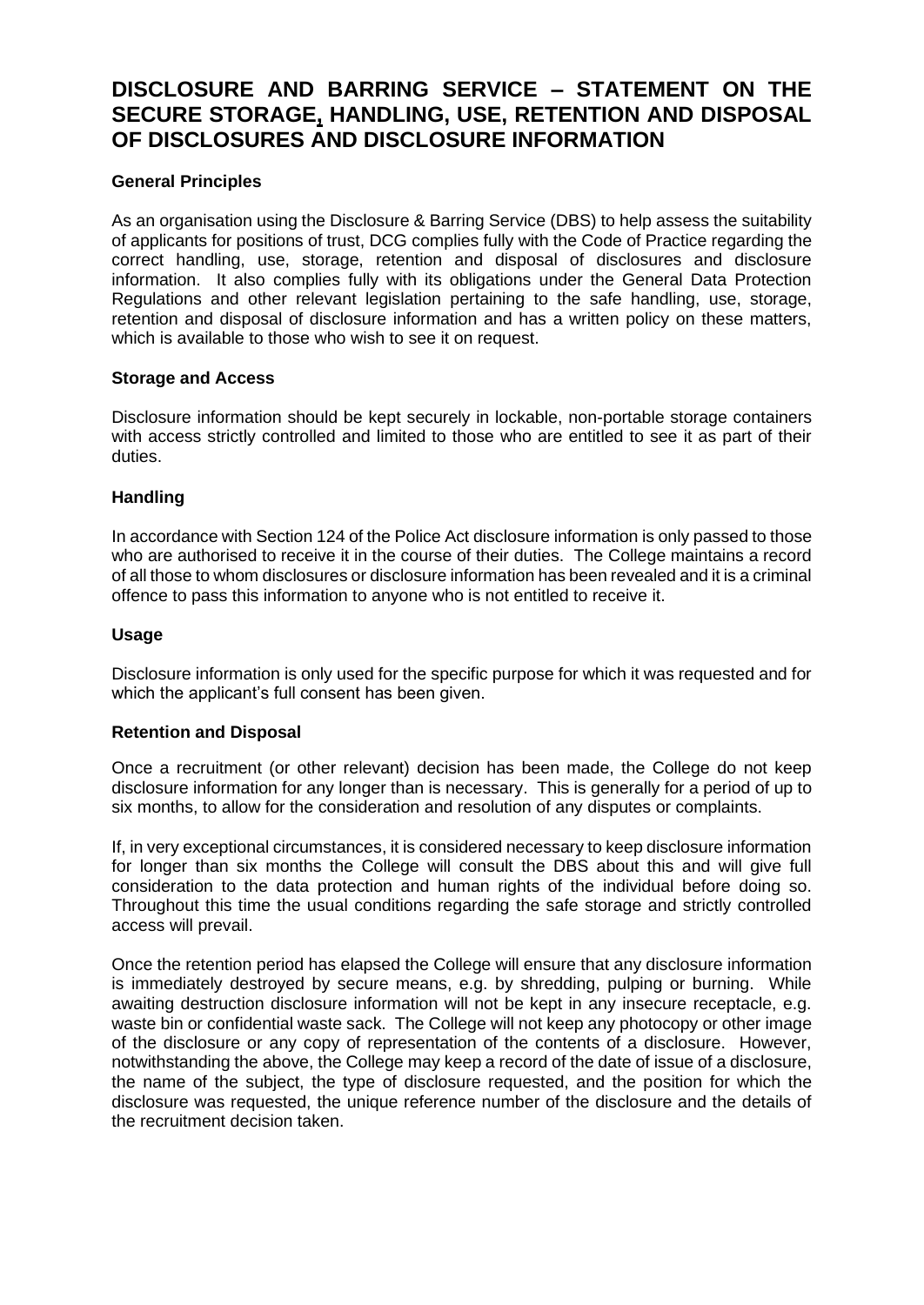## **DISCLOSURE AND BARRING SERVICE – STATEMENT ON THE SECURE STORAGE, HANDLING, USE, RETENTION AND DISPOSAL OF DISCLOSURES AND DISCLOSURE INFORMATION**

## **General Principles**

As an organisation using the Disclosure & Barring Service (DBS) to help assess the suitability of applicants for positions of trust, DCG complies fully with the Code of Practice regarding the correct handling, use, storage, retention and disposal of disclosures and disclosure information. It also complies fully with its obligations under the General Data Protection Regulations and other relevant legislation pertaining to the safe handling, use, storage, retention and disposal of disclosure information and has a written policy on these matters, which is available to those who wish to see it on request.

## **Storage and Access**

Disclosure information should be kept securely in lockable, non-portable storage containers with access strictly controlled and limited to those who are entitled to see it as part of their duties.

## **Handling**

In accordance with Section 124 of the Police Act disclosure information is only passed to those who are authorised to receive it in the course of their duties. The College maintains a record of all those to whom disclosures or disclosure information has been revealed and it is a criminal offence to pass this information to anyone who is not entitled to receive it.

## **Usage**

Disclosure information is only used for the specific purpose for which it was requested and for which the applicant's full consent has been given.

## **Retention and Disposal**

Once a recruitment (or other relevant) decision has been made, the College do not keep disclosure information for any longer than is necessary. This is generally for a period of up to six months, to allow for the consideration and resolution of any disputes or complaints.

If, in very exceptional circumstances, it is considered necessary to keep disclosure information for longer than six months the College will consult the DBS about this and will give full consideration to the data protection and human rights of the individual before doing so. Throughout this time the usual conditions regarding the safe storage and strictly controlled access will prevail.

Once the retention period has elapsed the College will ensure that any disclosure information is immediately destroyed by secure means, e.g. by shredding, pulping or burning. While awaiting destruction disclosure information will not be kept in any insecure receptacle, e.g. waste bin or confidential waste sack. The College will not keep any photocopy or other image of the disclosure or any copy of representation of the contents of a disclosure. However, notwithstanding the above, the College may keep a record of the date of issue of a disclosure, the name of the subject, the type of disclosure requested, and the position for which the disclosure was requested, the unique reference number of the disclosure and the details of the recruitment decision taken.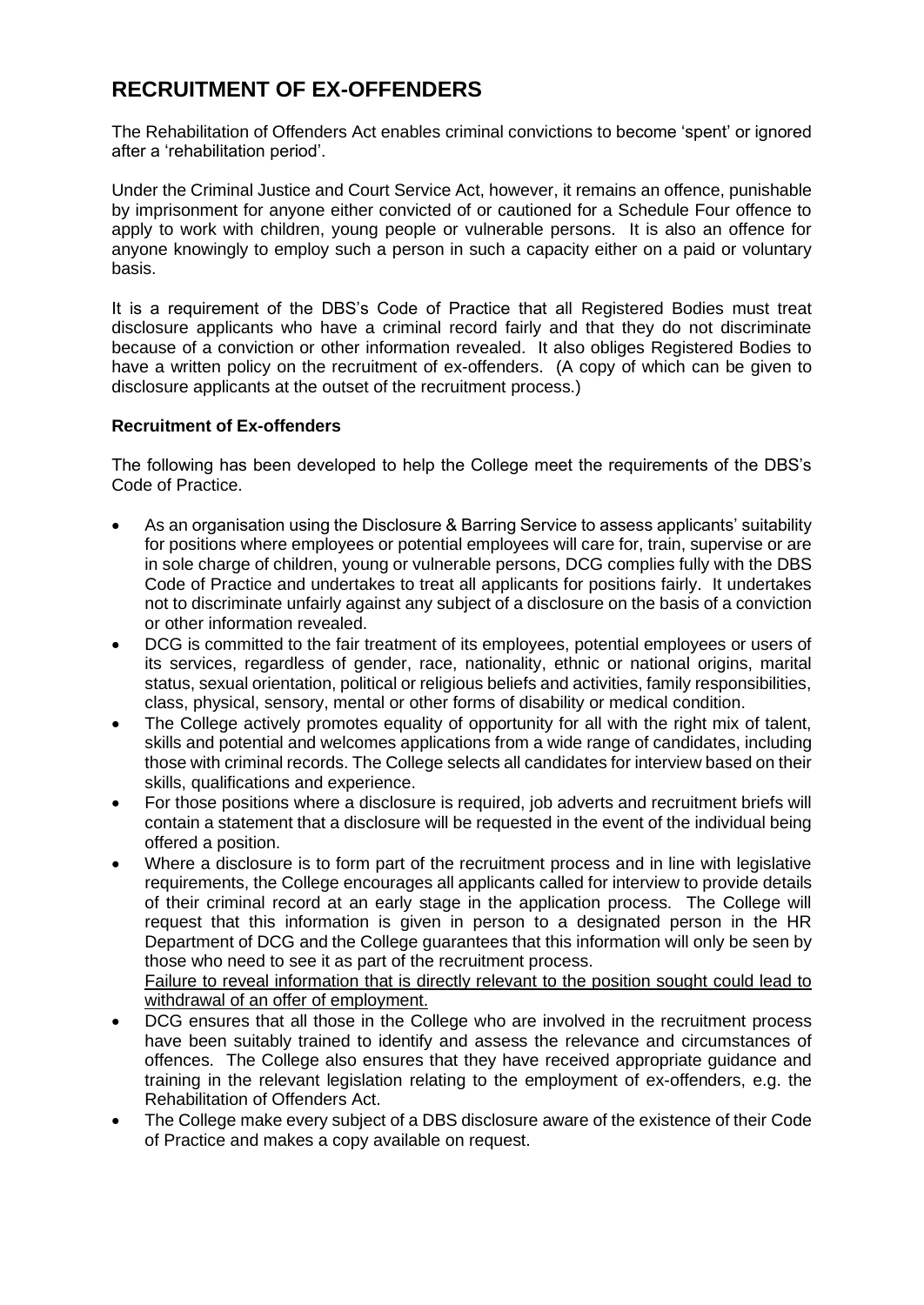## **RECRUITMENT OF EX-OFFENDERS**

The Rehabilitation of Offenders Act enables criminal convictions to become 'spent' or ignored after a 'rehabilitation period'.

Under the Criminal Justice and Court Service Act, however, it remains an offence, punishable by imprisonment for anyone either convicted of or cautioned for a Schedule Four offence to apply to work with children, young people or vulnerable persons. It is also an offence for anyone knowingly to employ such a person in such a capacity either on a paid or voluntary basis.

It is a requirement of the DBS's Code of Practice that all Registered Bodies must treat disclosure applicants who have a criminal record fairly and that they do not discriminate because of a conviction or other information revealed. It also obliges Registered Bodies to have a written policy on the recruitment of ex-offenders. (A copy of which can be given to disclosure applicants at the outset of the recruitment process.)

## **Recruitment of Ex-offenders**

The following has been developed to help the College meet the requirements of the DBS's Code of Practice.

- As an organisation using the Disclosure & Barring Service to assess applicants' suitability for positions where employees or potential employees will care for, train, supervise or are in sole charge of children, young or vulnerable persons, DCG complies fully with the DBS Code of Practice and undertakes to treat all applicants for positions fairly. It undertakes not to discriminate unfairly against any subject of a disclosure on the basis of a conviction or other information revealed.
- DCG is committed to the fair treatment of its employees, potential employees or users of its services, regardless of gender, race, nationality, ethnic or national origins, marital status, sexual orientation, political or religious beliefs and activities, family responsibilities, class, physical, sensory, mental or other forms of disability or medical condition.
- The College actively promotes equality of opportunity for all with the right mix of talent, skills and potential and welcomes applications from a wide range of candidates, including those with criminal records. The College selects all candidates for interview based on their skills, qualifications and experience.
- For those positions where a disclosure is required, job adverts and recruitment briefs will contain a statement that a disclosure will be requested in the event of the individual being offered a position.
- Where a disclosure is to form part of the recruitment process and in line with legislative requirements, the College encourages all applicants called for interview to provide details of their criminal record at an early stage in the application process. The College will request that this information is given in person to a designated person in the HR Department of DCG and the College guarantees that this information will only be seen by those who need to see it as part of the recruitment process.

Failure to reveal information that is directly relevant to the position sought could lead to withdrawal of an offer of employment.

- DCG ensures that all those in the College who are involved in the recruitment process have been suitably trained to identify and assess the relevance and circumstances of offences. The College also ensures that they have received appropriate guidance and training in the relevant legislation relating to the employment of ex-offenders, e.g. the Rehabilitation of Offenders Act.
- The College make every subject of a DBS disclosure aware of the existence of their Code of Practice and makes a copy available on request.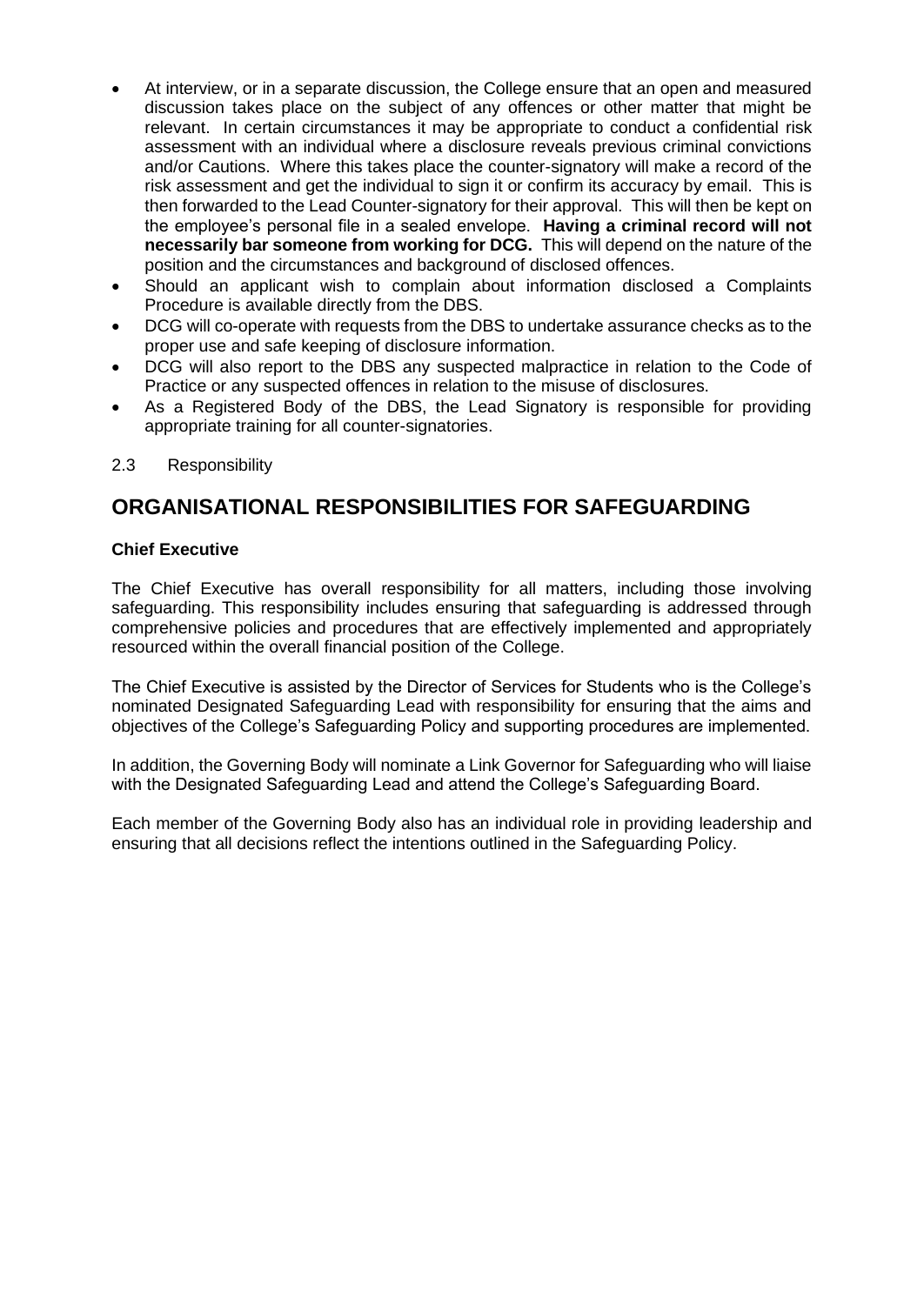- At interview, or in a separate discussion, the College ensure that an open and measured discussion takes place on the subject of any offences or other matter that might be relevant. In certain circumstances it may be appropriate to conduct a confidential risk assessment with an individual where a disclosure reveals previous criminal convictions and/or Cautions. Where this takes place the counter-signatory will make a record of the risk assessment and get the individual to sign it or confirm its accuracy by email. This is then forwarded to the Lead Counter-signatory for their approval. This will then be kept on the employee's personal file in a sealed envelope. **Having a criminal record will not necessarily bar someone from working for DCG.** This will depend on the nature of the position and the circumstances and background of disclosed offences.
- Should an applicant wish to complain about information disclosed a Complaints Procedure is available directly from the DBS.
- DCG will co-operate with requests from the DBS to undertake assurance checks as to the proper use and safe keeping of disclosure information.
- DCG will also report to the DBS any suspected malpractice in relation to the Code of Practice or any suspected offences in relation to the misuse of disclosures.
- As a Registered Body of the DBS, the Lead Signatory is responsible for providing appropriate training for all counter-signatories.
- 2.3 Responsibility

## **ORGANISATIONAL RESPONSIBILITIES FOR SAFEGUARDING**

## **Chief Executive**

The Chief Executive has overall responsibility for all matters, including those involving safeguarding. This responsibility includes ensuring that safeguarding is addressed through comprehensive policies and procedures that are effectively implemented and appropriately resourced within the overall financial position of the College.

The Chief Executive is assisted by the Director of Services for Students who is the College's nominated Designated Safeguarding Lead with responsibility for ensuring that the aims and objectives of the College's Safeguarding Policy and supporting procedures are implemented.

In addition, the Governing Body will nominate a Link Governor for Safeguarding who will liaise with the Designated Safeguarding Lead and attend the College's Safeguarding Board.

Each member of the Governing Body also has an individual role in providing leadership and ensuring that all decisions reflect the intentions outlined in the Safeguarding Policy.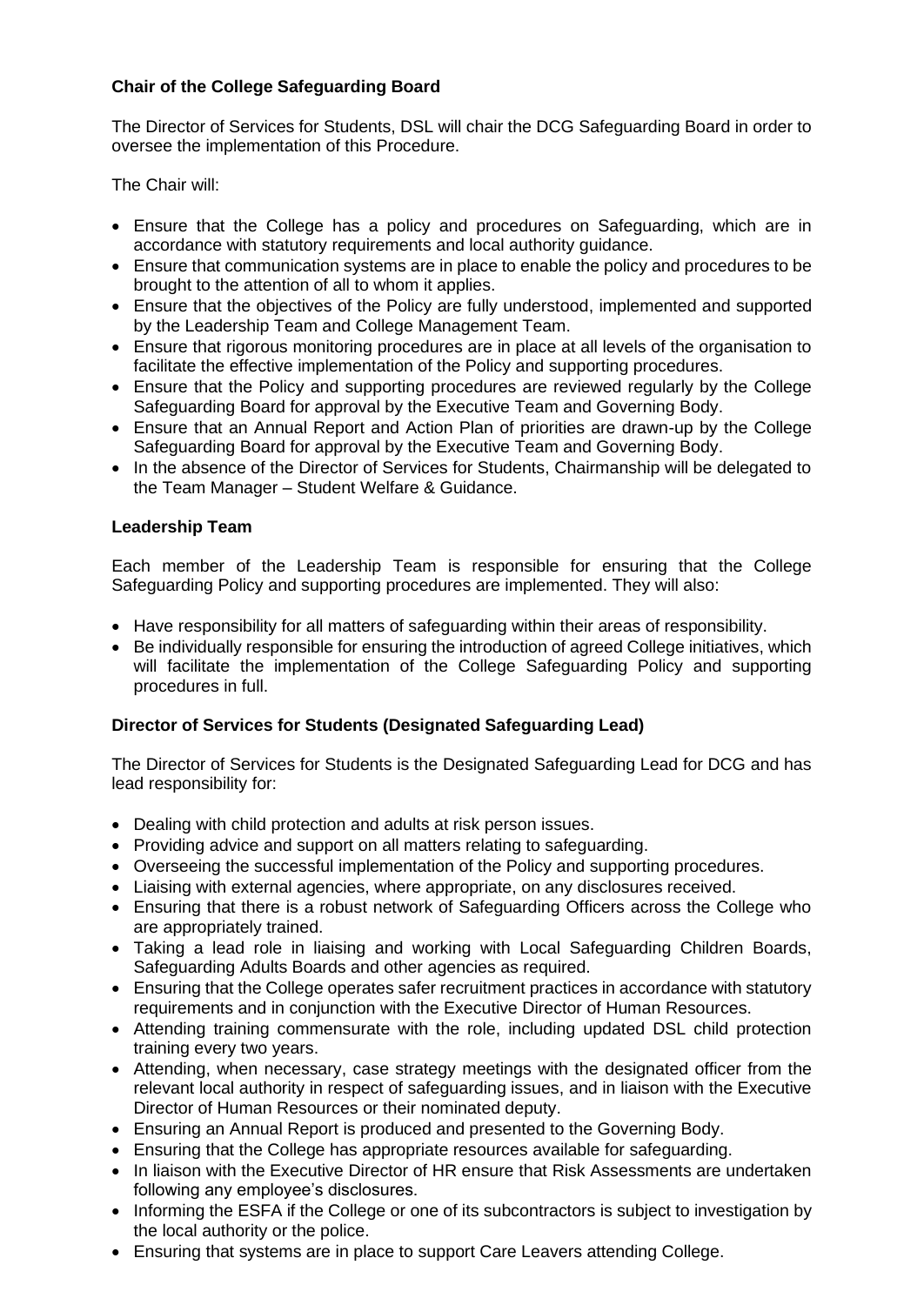## **Chair of the College Safeguarding Board**

The Director of Services for Students, DSL will chair the DCG Safeguarding Board in order to oversee the implementation of this Procedure.

The Chair will:

- Ensure that the College has a policy and procedures on Safeguarding, which are in accordance with statutory requirements and local authority guidance.
- Ensure that communication systems are in place to enable the policy and procedures to be brought to the attention of all to whom it applies.
- Ensure that the objectives of the Policy are fully understood, implemented and supported by the Leadership Team and College Management Team.
- Ensure that rigorous monitoring procedures are in place at all levels of the organisation to facilitate the effective implementation of the Policy and supporting procedures.
- Ensure that the Policy and supporting procedures are reviewed regularly by the College Safeguarding Board for approval by the Executive Team and Governing Body.
- Ensure that an Annual Report and Action Plan of priorities are drawn-up by the College Safeguarding Board for approval by the Executive Team and Governing Body.
- In the absence of the Director of Services for Students, Chairmanship will be delegated to the Team Manager – Student Welfare & Guidance.

## **Leadership Team**

Each member of the Leadership Team is responsible for ensuring that the College Safeguarding Policy and supporting procedures are implemented. They will also:

- Have responsibility for all matters of safeguarding within their areas of responsibility.
- Be individually responsible for ensuring the introduction of agreed College initiatives, which will facilitate the implementation of the College Safeguarding Policy and supporting procedures in full.

## **Director of Services for Students (Designated Safeguarding Lead)**

The Director of Services for Students is the Designated Safeguarding Lead for DCG and has lead responsibility for:

- Dealing with child protection and adults at risk person issues.
- Providing advice and support on all matters relating to safeguarding.
- Overseeing the successful implementation of the Policy and supporting procedures.
- Liaising with external agencies, where appropriate, on any disclosures received.
- Ensuring that there is a robust network of Safeguarding Officers across the College who are appropriately trained.
- Taking a lead role in liaising and working with Local Safeguarding Children Boards, Safeguarding Adults Boards and other agencies as required.
- Ensuring that the College operates safer recruitment practices in accordance with statutory requirements and in conjunction with the Executive Director of Human Resources.
- Attending training commensurate with the role, including updated DSL child protection training every two years.
- Attending, when necessary, case strategy meetings with the designated officer from the relevant local authority in respect of safeguarding issues, and in liaison with the Executive Director of Human Resources or their nominated deputy.
- Ensuring an Annual Report is produced and presented to the Governing Body.
- Ensuring that the College has appropriate resources available for safeguarding.
- In liaison with the Executive Director of HR ensure that Risk Assessments are undertaken following any employee's disclosures.
- Informing the ESFA if the College or one of its subcontractors is subject to investigation by the local authority or the police.
- Ensuring that systems are in place to support Care Leavers attending College.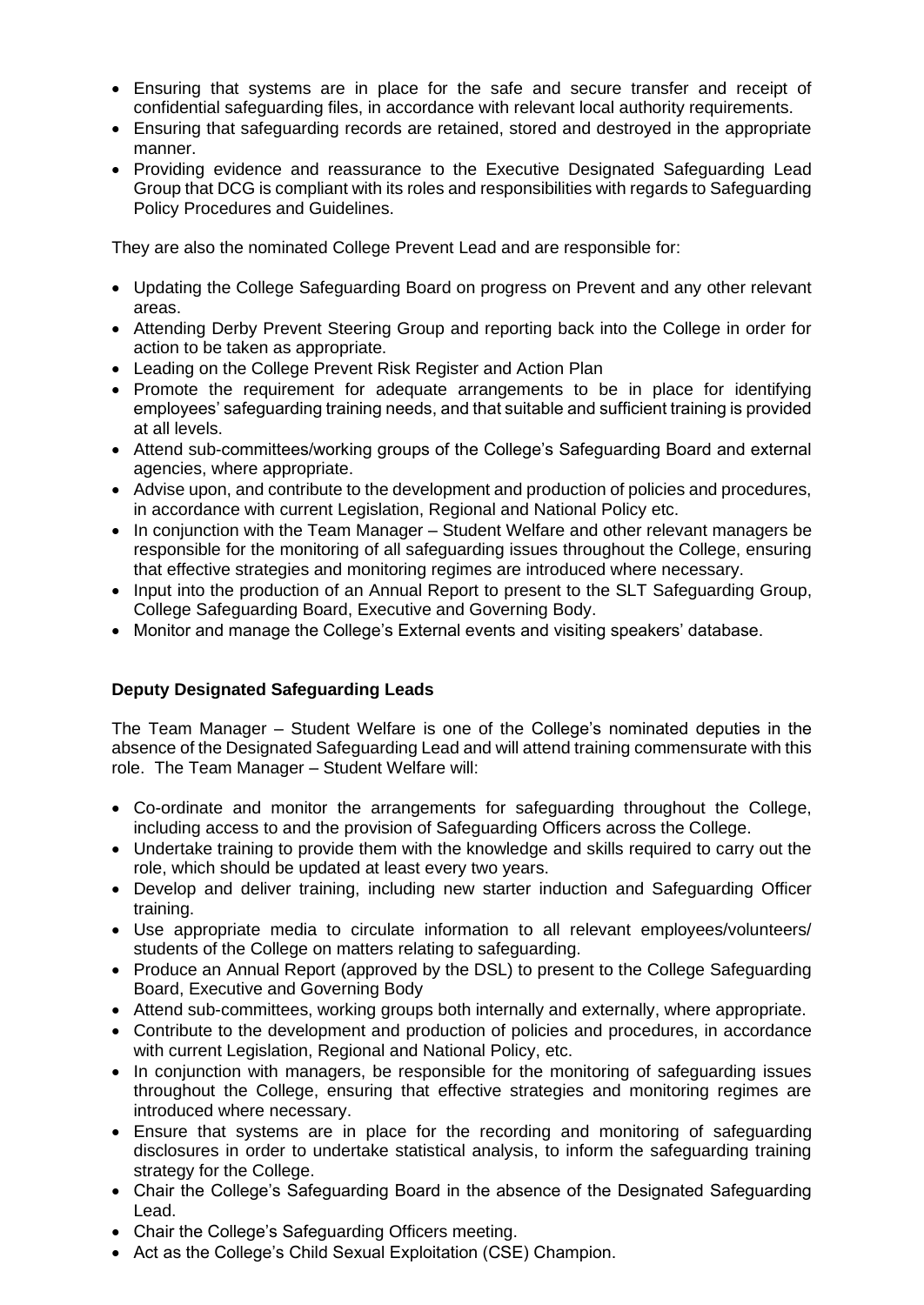- Ensuring that systems are in place for the safe and secure transfer and receipt of confidential safeguarding files, in accordance with relevant local authority requirements.
- Ensuring that safeguarding records are retained, stored and destroyed in the appropriate manner.
- Providing evidence and reassurance to the Executive Designated Safeguarding Lead Group that DCG is compliant with its roles and responsibilities with regards to Safeguarding Policy Procedures and Guidelines.

They are also the nominated College Prevent Lead and are responsible for:

- Updating the College Safeguarding Board on progress on Prevent and any other relevant areas.
- Attending Derby Prevent Steering Group and reporting back into the College in order for action to be taken as appropriate.
- Leading on the College Prevent Risk Register and Action Plan
- Promote the requirement for adequate arrangements to be in place for identifying employees' safeguarding training needs, and that suitable and sufficient training is provided at all levels.
- Attend sub-committees/working groups of the College's Safeguarding Board and external agencies, where appropriate.
- Advise upon, and contribute to the development and production of policies and procedures, in accordance with current Legislation, Regional and National Policy etc.
- In conjunction with the Team Manager Student Welfare and other relevant managers be responsible for the monitoring of all safeguarding issues throughout the College, ensuring that effective strategies and monitoring regimes are introduced where necessary.
- Input into the production of an Annual Report to present to the SLT Safeguarding Group, College Safeguarding Board, Executive and Governing Body.
- Monitor and manage the College's External events and visiting speakers' database.

## **Deputy Designated Safeguarding Leads**

The Team Manager – Student Welfare is one of the College's nominated deputies in the absence of the Designated Safeguarding Lead and will attend training commensurate with this role. The Team Manager – Student Welfare will:

- Co-ordinate and monitor the arrangements for safeguarding throughout the College, including access to and the provision of Safeguarding Officers across the College.
- Undertake training to provide them with the knowledge and skills required to carry out the role, which should be updated at least every two years.
- Develop and deliver training, including new starter induction and Safeguarding Officer training.
- Use appropriate media to circulate information to all relevant employees/volunteers/ students of the College on matters relating to safeguarding.
- Produce an Annual Report (approved by the DSL) to present to the College Safeguarding Board, Executive and Governing Body
- Attend sub-committees, working groups both internally and externally, where appropriate.
- Contribute to the development and production of policies and procedures, in accordance with current Legislation, Regional and National Policy, etc.
- In conjunction with managers, be responsible for the monitoring of safeguarding issues throughout the College, ensuring that effective strategies and monitoring regimes are introduced where necessary.
- Ensure that systems are in place for the recording and monitoring of safeguarding disclosures in order to undertake statistical analysis, to inform the safeguarding training strategy for the College.
- Chair the College's Safeguarding Board in the absence of the Designated Safeguarding Lead.
- Chair the College's Safeguarding Officers meeting.
- Act as the College's Child Sexual Exploitation (CSE) Champion.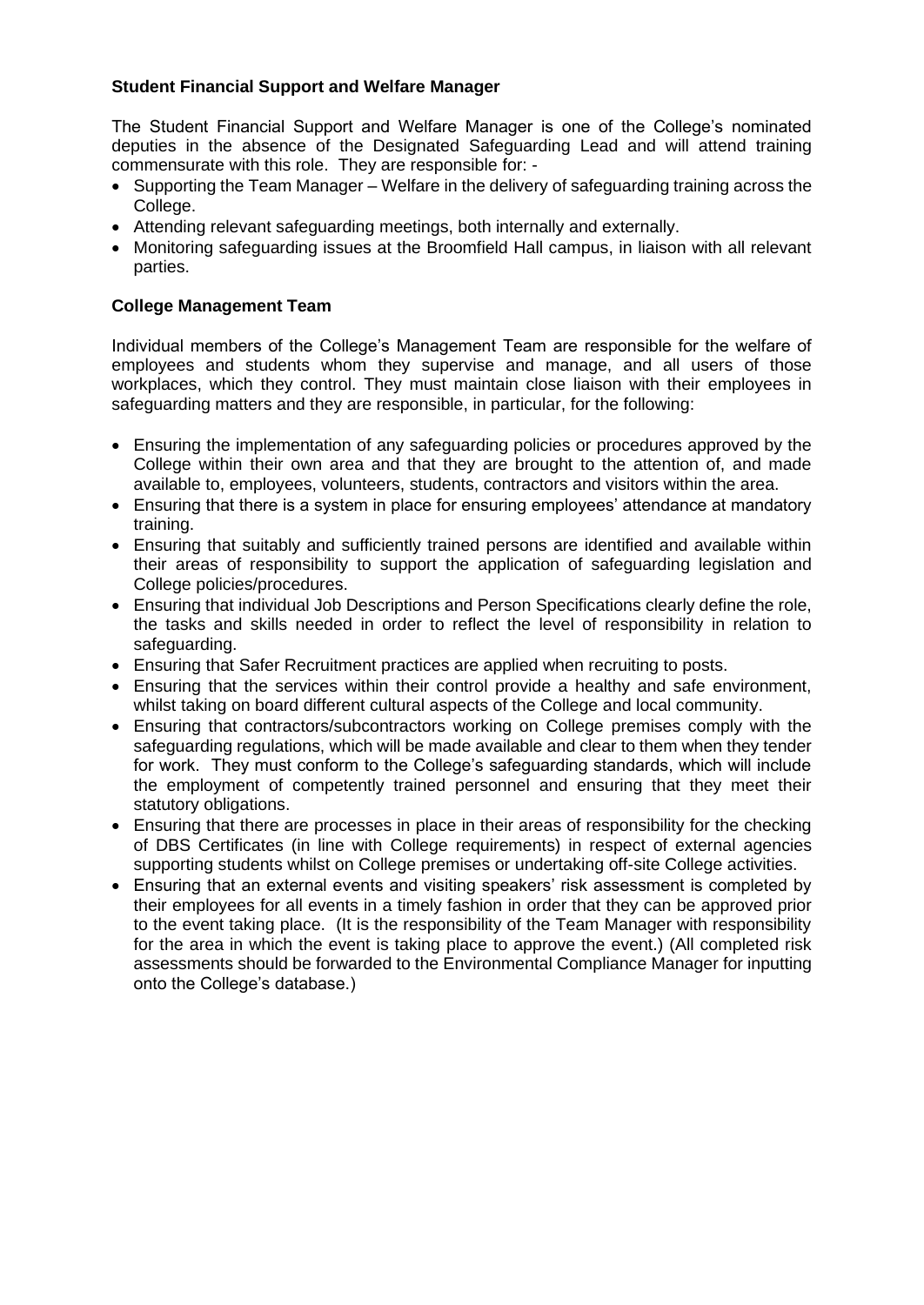## **Student Financial Support and Welfare Manager**

The Student Financial Support and Welfare Manager is one of the College's nominated deputies in the absence of the Designated Safeguarding Lead and will attend training commensurate with this role. They are responsible for: -

- Supporting the Team Manager Welfare in the delivery of safeguarding training across the College.
- Attending relevant safeguarding meetings, both internally and externally.
- Monitoring safeguarding issues at the Broomfield Hall campus, in liaison with all relevant parties.

## **College Management Team**

Individual members of the College's Management Team are responsible for the welfare of employees and students whom they supervise and manage, and all users of those workplaces, which they control. They must maintain close liaison with their employees in safeguarding matters and they are responsible, in particular, for the following:

- Ensuring the implementation of any safeguarding policies or procedures approved by the College within their own area and that they are brought to the attention of, and made available to, employees, volunteers, students, contractors and visitors within the area.
- Ensuring that there is a system in place for ensuring employees' attendance at mandatory training.
- Ensuring that suitably and sufficiently trained persons are identified and available within their areas of responsibility to support the application of safeguarding legislation and College policies/procedures.
- Ensuring that individual Job Descriptions and Person Specifications clearly define the role, the tasks and skills needed in order to reflect the level of responsibility in relation to safeguarding.
- Ensuring that Safer Recruitment practices are applied when recruiting to posts.
- Ensuring that the services within their control provide a healthy and safe environment, whilst taking on board different cultural aspects of the College and local community.
- Ensuring that contractors/subcontractors working on College premises comply with the safeguarding regulations, which will be made available and clear to them when they tender for work. They must conform to the College's safeguarding standards, which will include the employment of competently trained personnel and ensuring that they meet their statutory obligations.
- Ensuring that there are processes in place in their areas of responsibility for the checking of DBS Certificates (in line with College requirements) in respect of external agencies supporting students whilst on College premises or undertaking off-site College activities.
- Ensuring that an external events and visiting speakers' risk assessment is completed by their employees for all events in a timely fashion in order that they can be approved prior to the event taking place. (It is the responsibility of the Team Manager with responsibility for the area in which the event is taking place to approve the event.) (All completed risk assessments should be forwarded to the Environmental Compliance Manager for inputting onto the College's database.)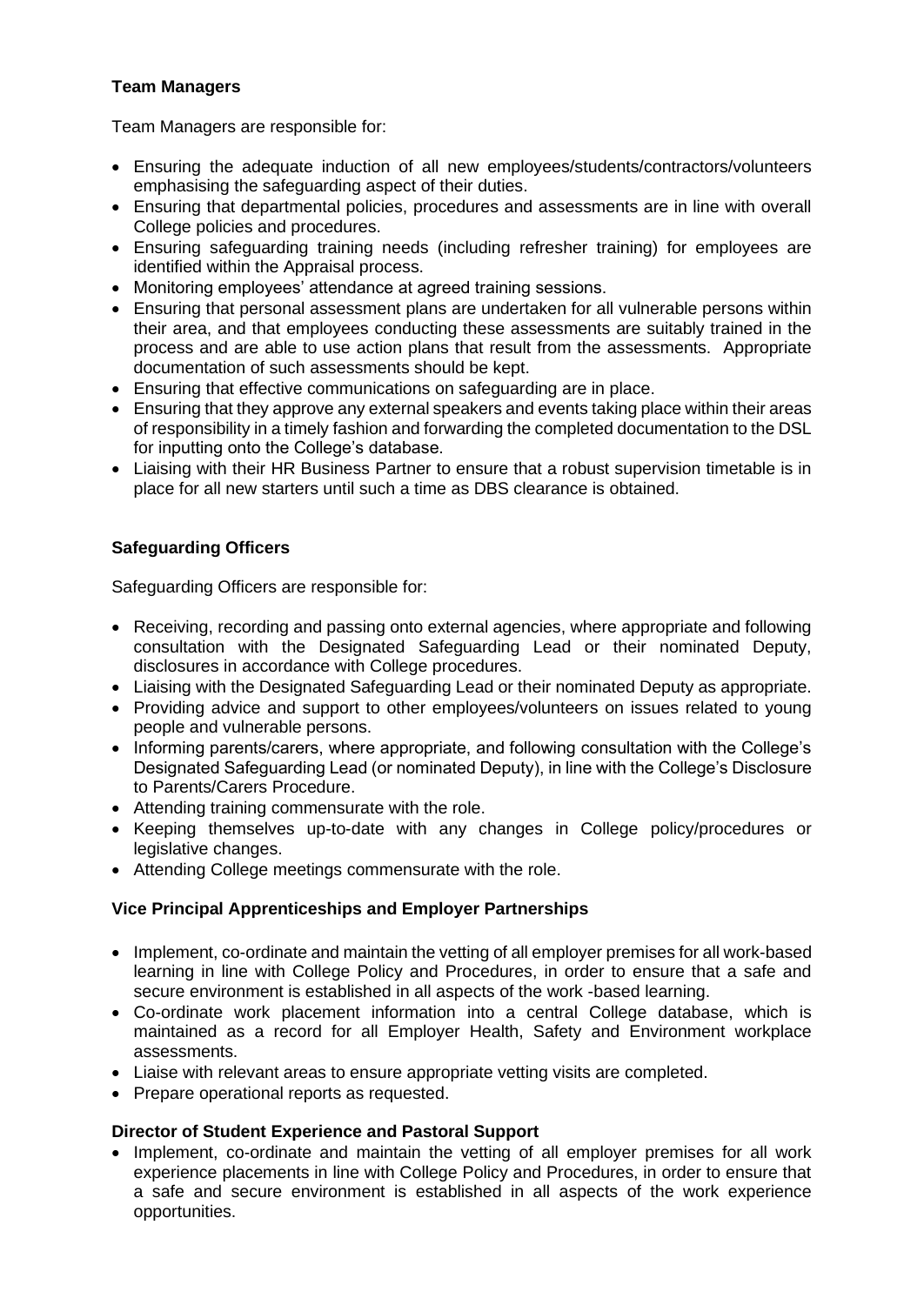## **Team Managers**

Team Managers are responsible for:

- Ensuring the adequate induction of all new employees/students/contractors/volunteers emphasising the safeguarding aspect of their duties.
- Ensuring that departmental policies, procedures and assessments are in line with overall College policies and procedures.
- Ensuring safeguarding training needs (including refresher training) for employees are identified within the Appraisal process.
- Monitoring employees' attendance at agreed training sessions.
- Ensuring that personal assessment plans are undertaken for all vulnerable persons within their area, and that employees conducting these assessments are suitably trained in the process and are able to use action plans that result from the assessments. Appropriate documentation of such assessments should be kept.
- Ensuring that effective communications on safeguarding are in place.
- Ensuring that they approve any external speakers and events taking place within their areas of responsibility in a timely fashion and forwarding the completed documentation to the DSL for inputting onto the College's database.
- Liaising with their HR Business Partner to ensure that a robust supervision timetable is in place for all new starters until such a time as DBS clearance is obtained.

## **Safeguarding Officers**

Safeguarding Officers are responsible for:

- Receiving, recording and passing onto external agencies, where appropriate and following consultation with the Designated Safeguarding Lead or their nominated Deputy, disclosures in accordance with College procedures.
- Liaising with the Designated Safeguarding Lead or their nominated Deputy as appropriate.
- Providing advice and support to other employees/volunteers on issues related to young people and vulnerable persons.
- Informing parents/carers, where appropriate, and following consultation with the College's Designated Safeguarding Lead (or nominated Deputy), in line with the College's Disclosure to Parents/Carers Procedure.
- Attending training commensurate with the role.
- Keeping themselves up-to-date with any changes in College policy/procedures or legislative changes.
- Attending College meetings commensurate with the role.

## **Vice Principal Apprenticeships and Employer Partnerships**

- Implement, co-ordinate and maintain the vetting of all employer premises for all work-based learning in line with College Policy and Procedures, in order to ensure that a safe and secure environment is established in all aspects of the work -based learning.
- Co-ordinate work placement information into a central College database, which is maintained as a record for all Employer Health, Safety and Environment workplace assessments.
- Liaise with relevant areas to ensure appropriate vetting visits are completed.
- Prepare operational reports as requested.

## **Director of Student Experience and Pastoral Support**

• Implement, co-ordinate and maintain the vetting of all employer premises for all work experience placements in line with College Policy and Procedures, in order to ensure that a safe and secure environment is established in all aspects of the work experience opportunities.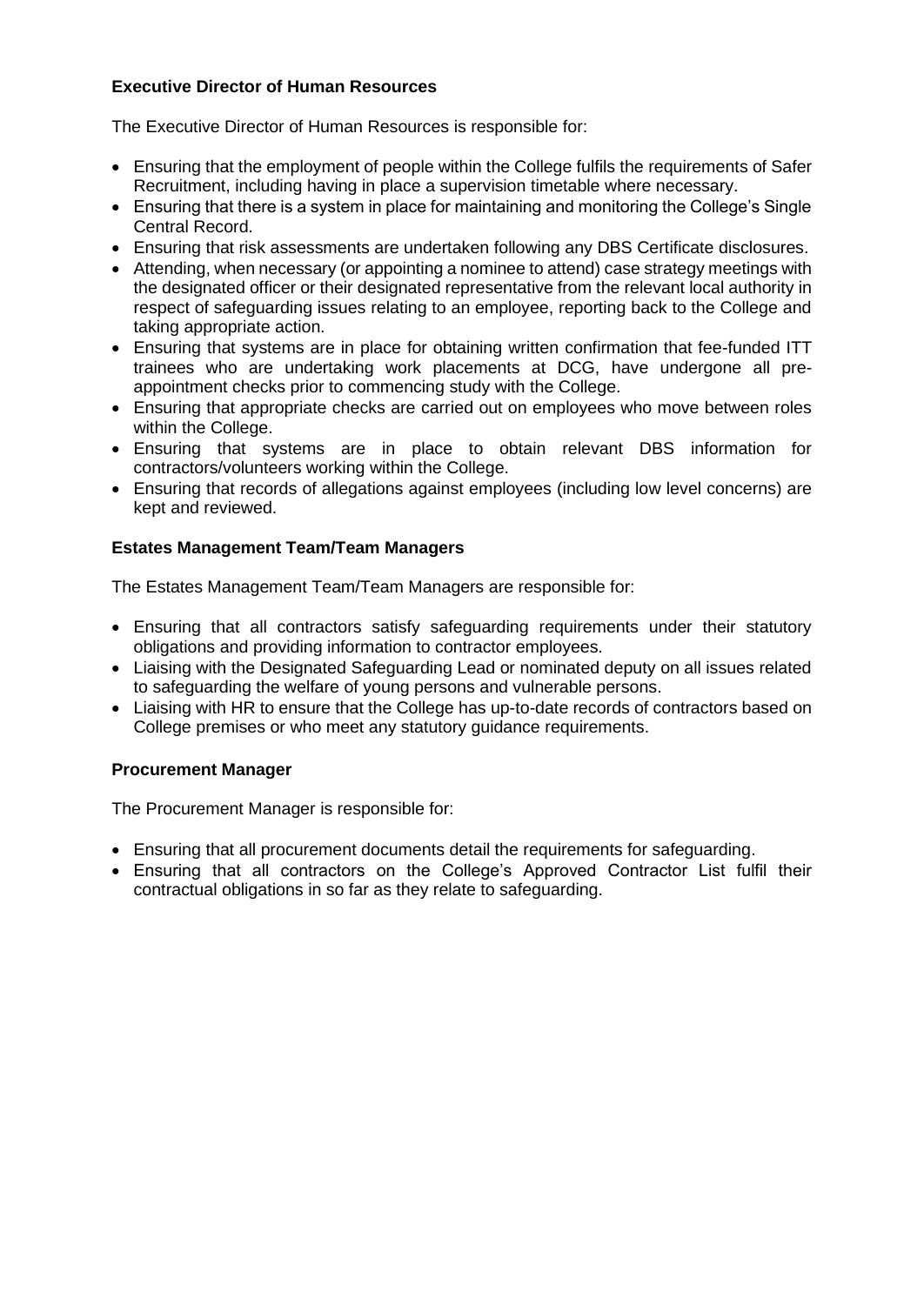## **Executive Director of Human Resources**

The Executive Director of Human Resources is responsible for:

- Ensuring that the employment of people within the College fulfils the requirements of Safer Recruitment, including having in place a supervision timetable where necessary.
- Ensuring that there is a system in place for maintaining and monitoring the College's Single Central Record.
- Ensuring that risk assessments are undertaken following any DBS Certificate disclosures.
- Attending, when necessary (or appointing a nominee to attend) case strategy meetings with the designated officer or their designated representative from the relevant local authority in respect of safeguarding issues relating to an employee, reporting back to the College and taking appropriate action.
- Ensuring that systems are in place for obtaining written confirmation that fee-funded ITT trainees who are undertaking work placements at DCG, have undergone all preappointment checks prior to commencing study with the College.
- Ensuring that appropriate checks are carried out on employees who move between roles within the College.
- Ensuring that systems are in place to obtain relevant DBS information for contractors/volunteers working within the College.
- Ensuring that records of allegations against employees (including low level concerns) are kept and reviewed.

## **Estates Management Team/Team Managers**

The Estates Management Team/Team Managers are responsible for:

- Ensuring that all contractors satisfy safeguarding requirements under their statutory obligations and providing information to contractor employees.
- Liaising with the Designated Safeguarding Lead or nominated deputy on all issues related to safeguarding the welfare of young persons and vulnerable persons.
- Liaising with HR to ensure that the College has up-to-date records of contractors based on College premises or who meet any statutory guidance requirements.

## **Procurement Manager**

The Procurement Manager is responsible for:

- Ensuring that all procurement documents detail the requirements for safeguarding.
- Ensuring that all contractors on the College's Approved Contractor List fulfil their contractual obligations in so far as they relate to safeguarding.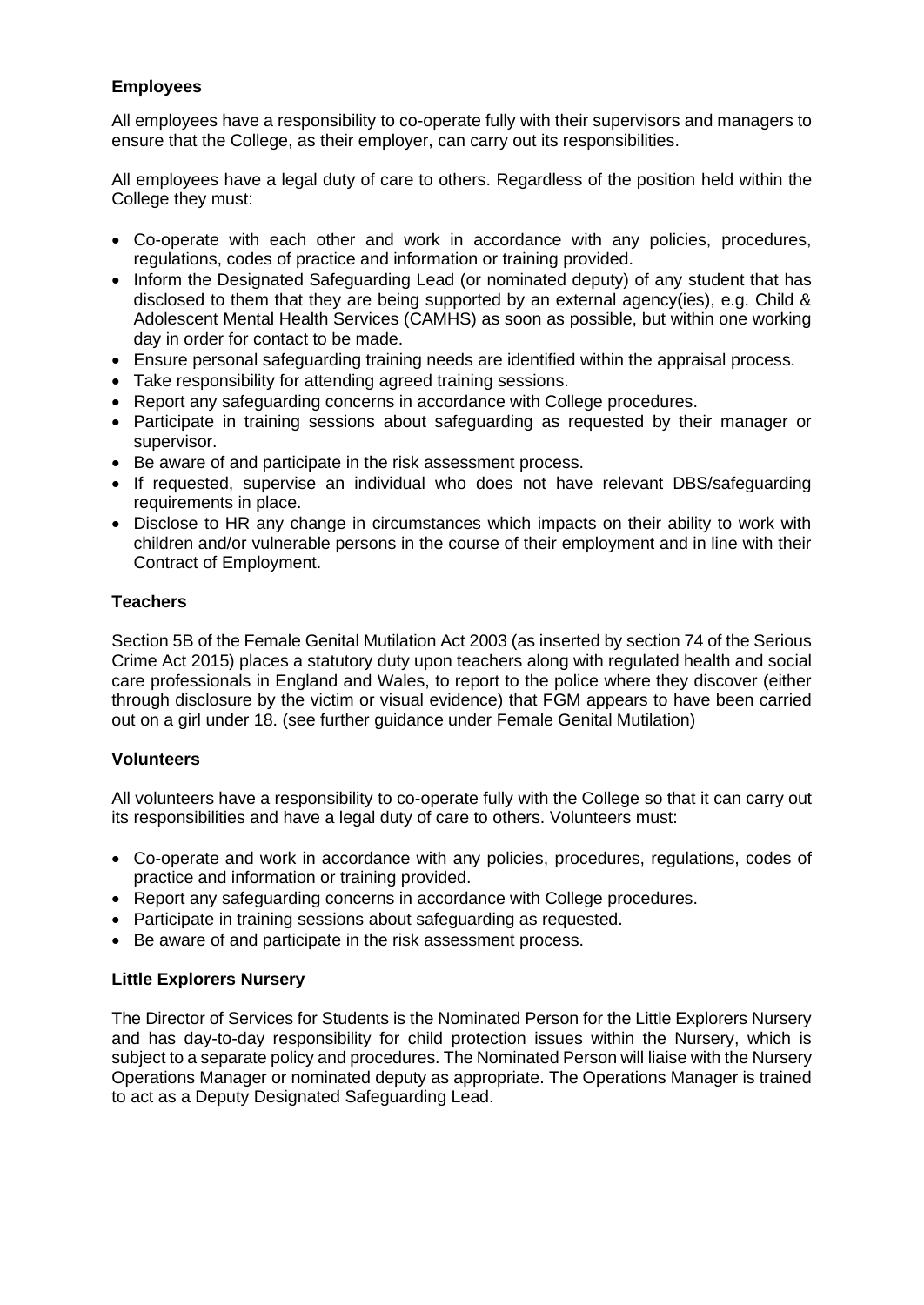## **Employees**

All employees have a responsibility to co-operate fully with their supervisors and managers to ensure that the College, as their employer, can carry out its responsibilities.

All employees have a legal duty of care to others. Regardless of the position held within the College they must:

- Co-operate with each other and work in accordance with any policies, procedures, regulations, codes of practice and information or training provided.
- Inform the Designated Safeguarding Lead (or nominated deputy) of any student that has disclosed to them that they are being supported by an external agency(ies), e.g. Child & Adolescent Mental Health Services (CAMHS) as soon as possible, but within one working day in order for contact to be made.
- Ensure personal safeguarding training needs are identified within the appraisal process.
- Take responsibility for attending agreed training sessions.
- Report any safeguarding concerns in accordance with College procedures.
- Participate in training sessions about safeguarding as requested by their manager or supervisor.
- Be aware of and participate in the risk assessment process.
- If requested, supervise an individual who does not have relevant DBS/safeguarding requirements in place.
- Disclose to HR any change in circumstances which impacts on their ability to work with children and/or vulnerable persons in the course of their employment and in line with their Contract of Employment.

## **Teachers**

Section 5B of the Female Genital Mutilation Act 2003 (as inserted by section 74 of the Serious Crime Act 2015) places a statutory duty upon teachers along with regulated health and social care professionals in England and Wales, to report to the police where they discover (either through disclosure by the victim or visual evidence) that FGM appears to have been carried out on a girl under 18. (see further guidance under Female Genital Mutilation)

## **Volunteers**

All volunteers have a responsibility to co-operate fully with the College so that it can carry out its responsibilities and have a legal duty of care to others. Volunteers must:

- Co-operate and work in accordance with any policies, procedures, regulations, codes of practice and information or training provided.
- Report any safeguarding concerns in accordance with College procedures.
- Participate in training sessions about safeguarding as requested.
- Be aware of and participate in the risk assessment process.

## **Little Explorers Nursery**

The Director of Services for Students is the Nominated Person for the Little Explorers Nursery and has day-to-day responsibility for child protection issues within the Nursery, which is subject to a separate policy and procedures. The Nominated Person will liaise with the Nursery Operations Manager or nominated deputy as appropriate. The Operations Manager is trained to act as a Deputy Designated Safeguarding Lead.